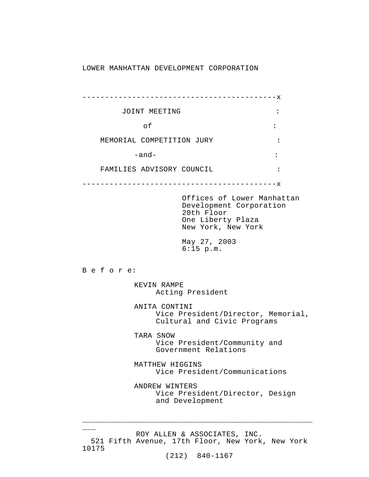#### LOWER MANHATTAN DEVELOPMENT CORPORATION

|                                                                      | -------------------------------                                                                                |                |
|----------------------------------------------------------------------|----------------------------------------------------------------------------------------------------------------|----------------|
| JOINT MEETING                                                        |                                                                                                                | $\ddot{\cdot}$ |
| оf                                                                   |                                                                                                                | $\ddot{\cdot}$ |
| MEMORIAL COMPETITION JURY                                            |                                                                                                                |                |
| $-$ and $-$                                                          |                                                                                                                |                |
| FAMILIES ADVISORY COUNCIL                                            |                                                                                                                | $\ddot{\cdot}$ |
|                                                                      | -------------------------X                                                                                     |                |
|                                                                      | Offices of Lower Manhattan<br>Development Corporation<br>20th Floor<br>One Liberty Plaza<br>New York, New York |                |
|                                                                      | May 27, 2003<br>$6:15$ p.m.                                                                                    |                |
| Before:                                                              |                                                                                                                |                |
| KEVIN RAMPE<br>Acting President                                      |                                                                                                                |                |
|                                                                      | ANITA CONTINI<br>Vice President/Director, Memorial,<br>Cultural and Civic Programs                             |                |
| TARA SNOW                                                            | Vice President/Community and<br>Government Relations                                                           |                |
| MATTHEW HIGGINS<br>Vice President/Communications                     |                                                                                                                |                |
| ANDREW WINTERS<br>Vice President/Director, Design<br>and Development |                                                                                                                |                |

ROY ALLEN & ASSOCIATES, INC. 521 Fifth Avenue, 17th Floor, New York, New York 10175

 $\overline{\phantom{a}}$ 

\_\_\_\_\_\_\_\_\_\_\_\_\_\_\_\_\_\_\_\_\_\_\_\_\_\_\_\_\_\_\_\_\_\_\_\_\_\_\_\_\_\_\_\_\_\_\_\_\_\_\_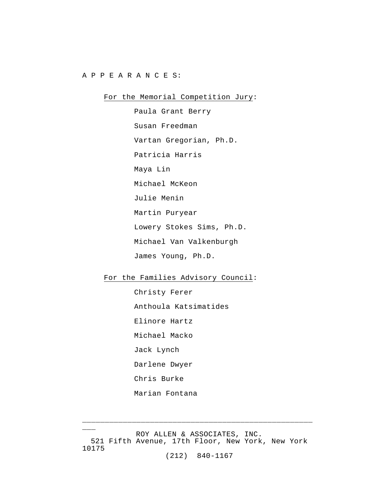#### A P P E A R A N C E S:

## For the Memorial Competition Jury:

Paula Grant Berry Susan Freedman Vartan Gregorian, Ph.D. Patricia Harris Maya Lin Michael McKeon Julie Menin Martin Puryear Lowery Stokes Sims, Ph.D. Michael Van Valkenburgh James Young, Ph.D.

# For the Families Advisory Council:

Christy Ferer Anthoula Katsimatides Elinore Hartz Michael Macko Jack Lynch Darlene Dwyer Chris Burke Marian Fontana

ROY ALLEN & ASSOCIATES, INC. 521 Fifth Avenue, 17th Floor, New York, New York 10175

 $\overline{\phantom{a}}$ 

\_\_\_\_\_\_\_\_\_\_\_\_\_\_\_\_\_\_\_\_\_\_\_\_\_\_\_\_\_\_\_\_\_\_\_\_\_\_\_\_\_\_\_\_\_\_\_\_\_\_\_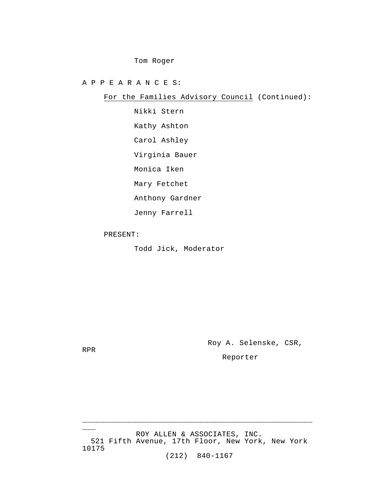### Tom Roger

A P P E A R A N C E S:

For the Families Advisory Council (Continued):

Nikki Stern Kathy Ashton Carol Ashley Virginia Bauer Monica Iken Mary Fetchet Anthony Gardner

Jenny Farrell

PRESENT:

Todd Jick, Moderator

Roy A. Selenske, CSR,

RPR

 $\overline{\phantom{a}}$ 

Reporter

ROY ALLEN & ASSOCIATES, INC. 521 Fifth Avenue, 17th Floor, New York, New York 10175

\_\_\_\_\_\_\_\_\_\_\_\_\_\_\_\_\_\_\_\_\_\_\_\_\_\_\_\_\_\_\_\_\_\_\_\_\_\_\_\_\_\_\_\_\_\_\_\_\_\_\_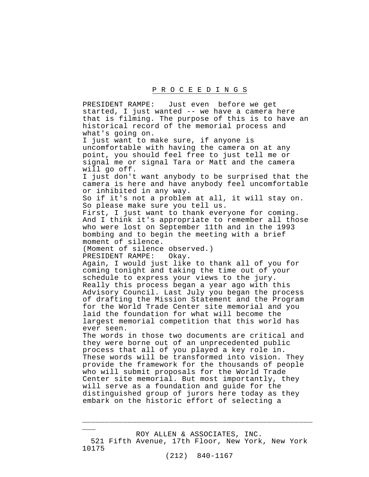PRESIDENT RAMPE: Just even before we get started, I just wanted -- we have a camera here that is filming. The purpose of this is to have an historical record of the memorial process and what's going on. I just want to make sure, if anyone is uncomfortable with having the camera on at any point, you should feel free to just tell me or signal me or signal Tara or Matt and the camera will go off. I just don't want anybody to be surprised that the camera is here and have anybody feel uncomfortable or inhibited in any way. So if it's not a problem at all, it will stay on. So please make sure you tell us. First, I just want to thank everyone for coming. And I think it's appropriate to remember all those who were lost on September 11th and in the 1993 bombing and to begin the meeting with a brief moment of silence. (Moment of silence observed.) PRESIDENT RAMPE: Okay. Again, I would just like to thank all of you for coming tonight and taking the time out of your schedule to express your views to the jury. Really this process began a year ago with this Advisory Council. Last July you began the process of drafting the Mission Statement and the Program for the World Trade Center site memorial and you laid the foundation for what will become the largest memorial competition that this world has ever seen. The words in those two documents are critical and they were borne out of an unprecedented public process that all of you played a key role in. These words will be transformed into vision. They provide the framework for the thousands of people who will submit proposals for the World Trade Center site memorial. But most importantly, they will serve as a foundation and guide for the distinguished group of jurors here today as they embark on the historic effort of selecting a

ROY ALLEN & ASSOCIATES, INC. 521 Fifth Avenue, 17th Floor, New York, New York 10175

 $\overline{\phantom{a}}$ 

\_\_\_\_\_\_\_\_\_\_\_\_\_\_\_\_\_\_\_\_\_\_\_\_\_\_\_\_\_\_\_\_\_\_\_\_\_\_\_\_\_\_\_\_\_\_\_\_\_\_\_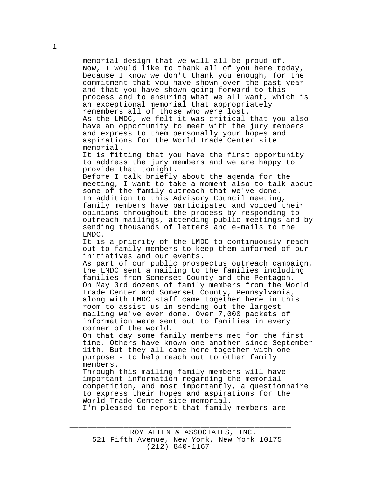memorial design that we will all be proud of. Now, I would like to thank all of you here today, because I know we don't thank you enough, for the commitment that you have shown over the past year and that you have shown going forward to this process and to ensuring what we all want, which is an exceptional memorial that appropriately remembers all of those who were lost. As the LMDC, we felt it was critical that you also have an opportunity to meet with the jury members and express to them personally your hopes and aspirations for the World Trade Center site memorial. It is fitting that you have the first opportunity to address the jury members and we are happy to provide that tonight. Before I talk briefly about the agenda for the meeting, I want to take a moment also to talk about some of the family outreach that we've done. In addition to this Advisory Council meeting, family members have participated and voiced their opinions throughout the process by responding to outreach mailings, attending public meetings and by sending thousands of letters and e-mails to the LMDC. It is a priority of the LMDC to continuously reach out to family members to keep them informed of our initiatives and our events. As part of our public prospectus outreach campaign, the LMDC sent a mailing to the families including families from Somerset County and the Pentagon. On May 3rd dozens of family members from the World Trade Center and Somerset County, Pennsylvania, along with LMDC staff came together here in this room to assist us in sending out the largest mailing we've ever done. Over 7,000 packets of information were sent out to families in every corner of the world. On that day some family members met for the first time. Others have known one another since September 11th. But they all came here together with one purpose - to help reach out to other family members. Through this mailing family members will have important information regarding the memorial competition, and most importantly, a questionnaire to express their hopes and aspirations for the World Trade Center site memorial. I'm pleased to report that family members are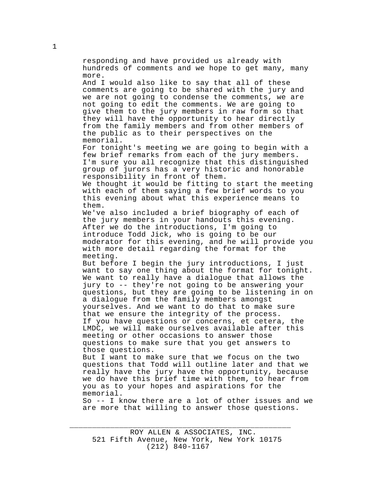hundreds of comments and we hope to get many, many more. And I would also like to say that all of these comments are going to be shared with the jury and we are not going to condense the comments, we are not going to edit the comments. We are going to give them to the jury members in raw form so that they will have the opportunity to hear directly from the family members and from other members of the public as to their perspectives on the memorial. For tonight's meeting we are going to begin with a few brief remarks from each of the jury members. I'm sure you all recognize that this distinguished group of jurors has a very historic and honorable responsibility in front of them. We thought it would be fitting to start the meeting with each of them saying a few brief words to you this evening about what this experience means to them. We've also included a brief biography of each of the jury members in your handouts this evening. After we do the introductions, I'm going to introduce Todd Jick, who is going to be our moderator for this evening, and he will provide you with more detail regarding the format for the meeting.

responding and have provided us already with

But before I begin the jury introductions, I just want to say one thing about the format for tonight. We want to really have a dialogue that allows the jury to -- they're not going to be answering your questions, but they are going to be listening in on a dialogue from the family members amongst yourselves. And we want to do that to make sure that we ensure the integrity of the process. If you have questions or concerns, et cetera, the LMDC, we will make ourselves available after this meeting or other occasions to answer those questions to make sure that you get answers to those questions.

But I want to make sure that we focus on the two questions that Todd will outline later and that we really have the jury have the opportunity, because we do have this brief time with them, to hear from you as to your hopes and aspirations for the memorial.

So -- I know there are a lot of other issues and we are more that willing to answer those questions.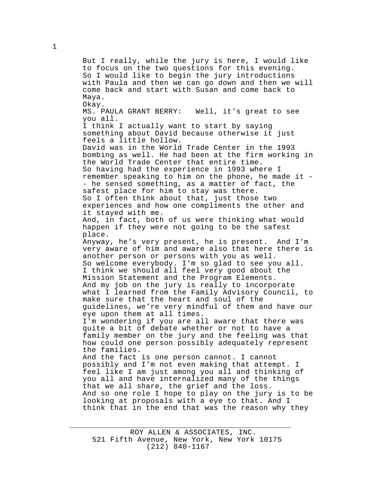But I really, while the jury is here, I would like to focus on the two questions for this evening. So I would like to begin the jury introductions with Paula and then we can go down and then we will come back and start with Susan and come back to Maya. Okay. MS. PAULA GRANT BERRY: Well, it's great to see you all. I think I actually want to start by saying something about David because otherwise it just feels a little hollow. David was in the World Trade Center in the 1993 bombing as well. He had been at the firm working in the World Trade Center that entire time. So having had the experience in 1993 where I remember speaking to him on the phone, he made it - - he sensed something, as a matter of fact, the safest place for him to stay was there. So I often think about that, just those two experiences and how one compliments the other and it stayed with me. And, in fact, both of us were thinking what would happen if they were not going to be the safest place. Anyway, he's very present, he is present. And I'm very aware of him and aware also that here there is another person or persons with you as well. So welcome everybody. I'm so glad to see you all. I think we should all feel very good about the Mission Statement and the Program Elements. And my job on the jury is really to incorporate what I learned from the Family Advisory Council, to make sure that the heart and soul of the guidelines, we're very mindful of them and have our eye upon them at all times. I'm wondering if you are all aware that there was quite a bit of debate whether or not to have a family member on the jury and the feeling was that how could one person possibly adequately represent the families. And the fact is one person cannot. I cannot possibly and I'm not even making that attempt. I feel like I am just among you all and thinking of you all and have internalized many of the things that we all share, the grief and the loss. And so one role I hope to play on the jury is to be looking at proposals with a eye to that. And I think that in the end that was the reason why they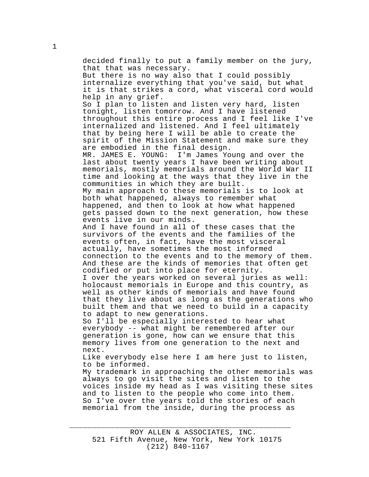decided finally to put a family member on the jury, that that was necessary. But there is no way also that I could possibly internalize everything that you've said, but what it is that strikes a cord, what visceral cord would help in any grief. So I plan to listen and listen very hard, listen tonight, listen tomorrow. And I have listened throughout this entire process and I feel like I've internalized and listened. And I feel ultimately that by being here I will be able to create the spirit of the Mission Statement and make sure they are embodied in the final design.<br>MR. JAMES E. YOUNG: I'm James Yo I'm James Young and over the last about twenty years I have been writing about memorials, mostly memorials around the World War II time and looking at the ways that they live in the communities in which they are built. My main approach to these memorials is to look at both what happened, always to remember what happened, and then to look at how what happened gets passed down to the next generation, how these events live in our minds. And I have found in all of these cases that the survivors of the events and the families of the events often, in fact, have the most visceral actually, have sometimes the most informed connection to the events and to the memory of them. And these are the kinds of memories that often get codified or put into place for eternity. I over the years worked on several juries as well: holocaust memorials in Europe and this country, as well as other kinds of memorials and have found that they live about as long as the generations who built them and that we need to build in a capacity to adapt to new generations. So I'll be especially interested to hear what everybody -- what might be remembered after our generation is gone, how can we ensure that this memory lives from one generation to the next and next. Like everybody else here I am here just to listen, to be informed. My trademark in approaching the other memorials was always to go visit the sites and listen to the voices inside my head as I was visiting these sites and to listen to the people who come into them. So I've over the years told the stories of each memorial from the inside, during the process as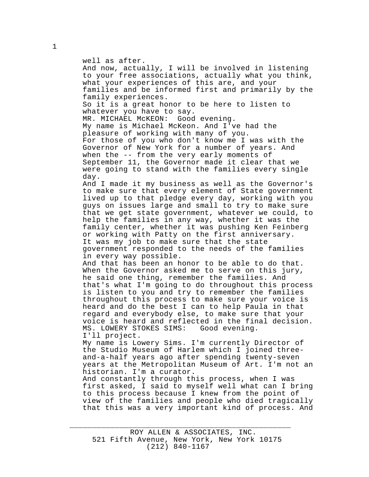well as after. And now, actually, I will be involved in listening to your free associations, actually what you think, what your experiences of this are, and your families and be informed first and primarily by the family experiences. So it is a great honor to be here to listen to whatever you have to say. MR. MICHAEL McKEON: Good evening. My name is Michael McKeon. And I've had the pleasure of working with many of you. For those of you who don't know me I was with the Governor of New York for a number of years. And when the -- from the very early moments of September 11, the Governor made it clear that we were going to stand with the families every single day. And I made it my business as well as the Governor's to make sure that every element of State government lived up to that pledge every day, working with you guys on issues large and small to try to make sure that we get state government, whatever we could, to help the families in any way, whether it was the family center, whether it was pushing Ken Feinberg or working with Patty on the first anniversary. It was my job to make sure that the state government responded to the needs of the families in every way possible. And that has been an honor to be able to do that. When the Governor asked me to serve on this jury, he said one thing, remember the families. And that's what I'm going to do throughout this process is listen to you and try to remember the families throughout this process to make sure your voice is heard and do the best I can to help Paula in that regard and everybody else, to make sure that your voice is heard and reflected in the final decision.<br>MS. LOWERY STOKES SIMS: Good evening. MS. LOWERY STOKES SIMS: I'll project. My name is Lowery Sims. I'm currently Director of the Studio Museum of Harlem which I joined threeand-a-half years ago after spending twenty-seven years at the Metropolitan Museum of Art. I'm not an historian. I'm a curator. And constantly through this process, when I was first asked, I said to myself well what can I bring to this process because I knew from the point of view of the families and people who died tragically

that this was a very important kind of process. And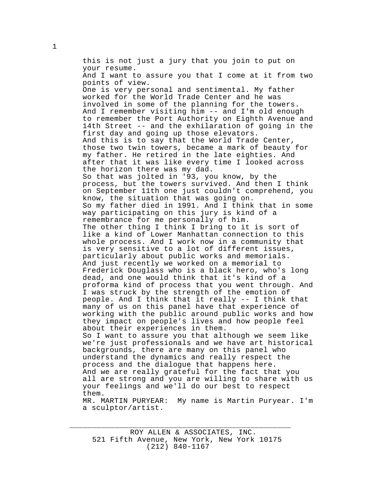this is not just a jury that you join to put on your resume. And I want to assure you that I come at it from two points of view. One is very personal and sentimental. My father worked for the World Trade Center and he was involved in some of the planning for the towers. And I remember visiting him -- and I'm old enough to remember the Port Authority on Eighth Avenue and 14th Street -- and the exhilaration of going in the first day and going up those elevators. And this is to say that the World Trade Center, those two twin towers, became a mark of beauty for my father. He retired in the late eighties. And after that it was like every time I looked across the horizon there was my dad. So that was jolted in '93, you know, by the process, but the towers survived. And then I think on September 11th one just couldn't comprehend, you know, the situation that was going on. So my father died in 1991. And I think that in some way participating on this jury is kind of a remembrance for me personally of him. The other thing I think I bring to it is sort of like a kind of Lower Manhattan connection to this whole process. And I work now in a community that is very sensitive to a lot of different issues, particularly about public works and memorials. And just recently we worked on a memorial to Frederick Douglass who is a black hero, who's long dead, and one would think that it's kind of a proforma kind of process that you went through. And I was struck by the strength of the emotion of people. And I think that it really -- I think that many of us on this panel have that experience of working with the public around public works and how they impact on people's lives and how people feel about their experiences in them. So I want to assure you that although we seem like we're just professionals and we have art historical backgrounds, there are many on this panel who understand the dynamics and really respect the process and the dialogue that happens here. And we are really grateful for the fact that you all are strong and you are willing to share with us your feelings and we'll do our best to respect them. MR. MARTIN PURYEAR: My name is Martin Puryear. I'm a sculptor/artist.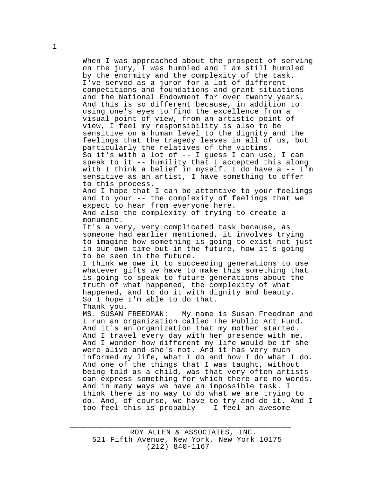When I was approached about the prospect of serving on the jury, I was humbled and I am still humbled by the enormity and the complexity of the task. I've served as a juror for a lot of different competitions and foundations and grant situations and the National Endowment for over twenty years. And this is so different because, in addition to using one's eyes to find the excellence from a visual point of view, from an artistic point of view, I feel my responsibility is also to be sensitive on a human level to the dignity and the feelings that the tragedy leaves in all of us, but particularly the relatives of the victims. So it's with a lot of -- I guess I can use, I can speak to it -- humility that I accepted this along with I think a belief in myself. I do have a -- I'm sensitive as an artist, I have something to offer to this process. And I hope that I can be attentive to your feelings and to your -- the complexity of feelings that we expect to hear from everyone here. And also the complexity of trying to create a monument. It's a very, very complicated task because, as someone had earlier mentioned, it involves trying to imagine how something is going to exist not just in our own time but in the future, how it's going to be seen in the future. I think we owe it to succeeding generations to use whatever gifts we have to make this something that is going to speak to future generations about the truth of what happened, the complexity of what happened, and to do it with dignity and beauty. So I hope I'm able to do that. Thank you.<br>MS. SUSAN FREEDMAN: My name is Susan Freedman and I run an organization called The Public Art Fund. And it's an organization that my mother started. And I travel every day with her presence with me. And I wonder how different my life would be if she were alive and she's not. And it has very much informed my life, what I do and how I do what I do. And one of the things that I was taught, without being told as a child, was that very often artists can express something for which there are no words. And in many ways we have an impossible task. I think there is no way to do what we are trying to do. And, of course, we have to try and do it. And I too feel this is probably -- I feel an awesome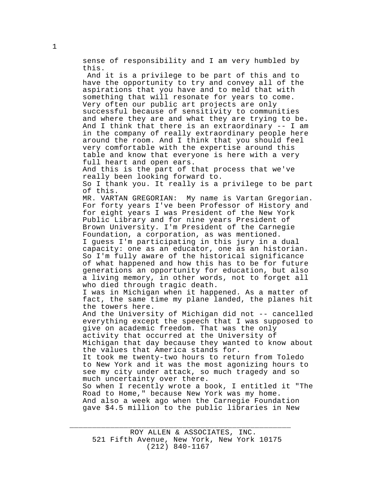sense of responsibility and I am very humbled by this.

 And it is a privilege to be part of this and to have the opportunity to try and convey all of the aspirations that you have and to meld that with something that will resonate for years to come. Very often our public art projects are only successful because of sensitivity to communities and where they are and what they are trying to be. And I think that there is an extraordinary -- I am in the company of really extraordinary people here around the room. And I think that you should feel very comfortable with the expertise around this table and know that everyone is here with a very full heart and open ears. And this is the part of that process that we've really been looking forward to. So I thank you. It really is a privilege to be part of this. MR. VARTAN GREGORIAN: My name is Vartan Gregorian. For forty years I've been Professor of History and for eight years I was President of the New York Public Library and for nine years President of Brown University. I'm President of the Carnegie Foundation, a corporation, as was mentioned. I guess I'm participating in this jury in a dual capacity: one as an educator, one as an historian. So I'm fully aware of the historical significance of what happened and how this has to be for future generations an opportunity for education, but also a living memory, in other words, not to forget all who died through tragic death. I was in Michigan when it happened. As a matter of fact, the same time my plane landed, the planes hit the towers here. And the University of Michigan did not -- cancelled everything except the speech that I was supposed to give on academic freedom. That was the only activity that occurred at the University of Michigan that day because they wanted to know about the values that America stands for. It took me twenty-two hours to return from Toledo to New York and it was the most agonizing hours to see my city under attack, so much tragedy and so much uncertainty over there. So when I recently wrote a book, I entitled it "The Road to Home," because New York was my home. And also a week ago when the Carnegie Foundation

gave \$4.5 million to the public libraries in New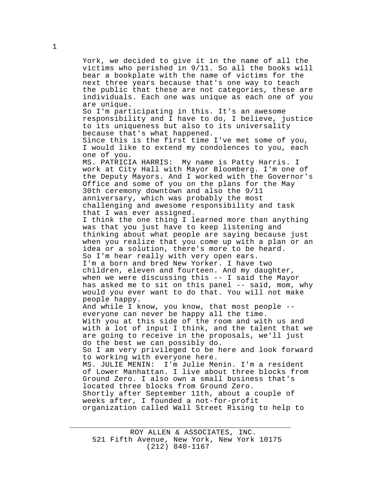York, we decided to give it in the name of all the victims who perished in 9/11. So all the books will bear a bookplate with the name of victims for the next three years because that's one way to teach the public that these are not categories, these are individuals. Each one was unique as each one of you are unique. So I'm participating in this. It's an awesome responsibility and I have to do, I believe, justice to its uniqueness but also to its universality because that's what happened. Since this is the first time I've met some of you, I would like to extend my condolences to you, each one of you.<br>MS. PATRICIA HARRIS: My name is Patty Harris. I work at City Hall with Mayor Bloomberg. I'm one of the Deputy Mayors. And I worked with the Governor's Office and some of you on the plans for the May 30th ceremony downtown and also the 9/11 anniversary, which was probably the most challenging and awesome responsibility and task that I was ever assigned. I think the one thing I learned more than anything was that you just have to keep listening and thinking about what people are saying because just

when you realize that you come up with a plan or an idea or a solution, there's more to be heard. So I'm hear really with very open ears. I'm a born and bred New Yorker. I have two children, eleven and fourteen. And my daughter, when we were discussing this -- I said the Mayor has asked me to sit on this panel -- said, mom, why would you ever want to do that. You will not make people happy.

And while I know, you know, that most people - everyone can never be happy all the time. With you at this side of the room and with us and with a lot of input I think, and the talent that we are going to receive in the proposals, we'll just do the best we can possibly do. So I am very privileged to be here and look forward to working with everyone here. MS. JULIE MENIN: I'm Julie Menin. I'm a resident of Lower Manhattan. I live about three blocks from Ground Zero. I also own a small business that's located three blocks from Ground Zero. Shortly after September 11th, about a couple of weeks after, I founded a not-for-profit organization called Wall Street Rising to help to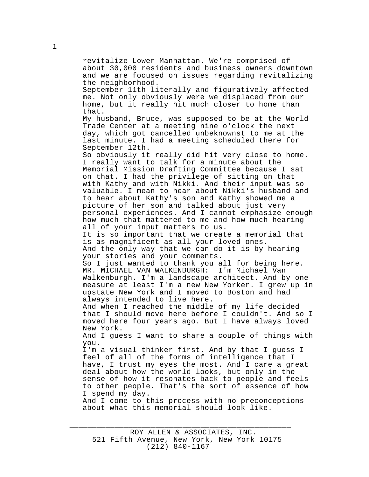revitalize Lower Manhattan. We're comprised of about 30,000 residents and business owners downtown and we are focused on issues regarding revitalizing the neighborhood. September 11th literally and figuratively affected me. Not only obviously were we displaced from our home, but it really hit much closer to home than that. My husband, Bruce, was supposed to be at the World Trade Center at a meeting nine o'clock the next day, which got cancelled unbeknownst to me at the last minute. I had a meeting scheduled there for September 12th. So obviously it really did hit very close to home. I really want to talk for a minute about the Memorial Mission Drafting Committee because I sat on that. I had the privilege of sitting on that with Kathy and with Nikki. And their input was so valuable. I mean to hear about Nikki's husband and to hear about Kathy's son and Kathy showed me a picture of her son and talked about just very personal experiences. And I cannot emphasize enough how much that mattered to me and how much hearing all of your input matters to us. It is so important that we create a memorial that is as magnificent as all your loved ones. And the only way that we can do it is by hearing your stories and your comments. So I just wanted to thank you all for being here. MR. MICHAEL VAN WALKENBURGH: I'm Michael Van Walkenburgh. I'm a landscape architect. And by one measure at least I'm a new New Yorker. I grew up in upstate New York and I moved to Boston and had always intended to live here. And when I reached the middle of my life decided that I should move here before I couldn't. And so I moved here four years ago. But I have always loved New York. And I guess I want to share a couple of things with you. I'm a visual thinker first. And by that I guess I feel of all of the forms of intelligence that I have, I trust my eyes the most. And I care a great deal about how the world looks, but only in the sense of how it resonates back to people and feels to other people. That's the sort of essence of how I spend my day. And I come to this process with no preconceptions about what this memorial should look like.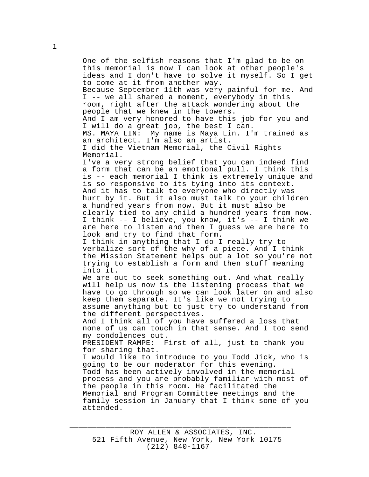One of the selfish reasons that I'm glad to be on this memorial is now I can look at other people's ideas and I don't have to solve it myself. So I get to come at it from another way. Because September 11th was very painful for me. And I -- we all shared a moment, everybody in this room, right after the attack wondering about the people that we knew in the towers. And I am very honored to have this job for you and I will do a great job, the best I can. MS. MAYA LIN: My name is Maya Lin. I'm trained as an architect. I'm also an artist. I did the Vietnam Memorial, the Civil Rights Memorial. I've a very strong belief that you can indeed find a form that can be an emotional pull. I think this is -- each memorial I think is extremely unique and is so responsive to its tying into its context. And it has to talk to everyone who directly was hurt by it. But it also must talk to your children a hundred years from now. But it must also be clearly tied to any child a hundred years from now. I think -- I believe, you know, it's -- I think we are here to listen and then I guess we are here to look and try to find that form. I think in anything that I do I really try to verbalize sort of the why of a piece. And I think the Mission Statement helps out a lot so you're not trying to establish a form and then stuff meaning into it. We are out to seek something out. And what really will help us now is the listening process that we have to go through so we can look later on and also keep them separate. It's like we not trying to assume anything but to just try to understand from the different perspectives. And I think all of you have suffered a loss that none of us can touch in that sense. And I too send my condolences out. PRESIDENT RAMPE: First of all, just to thank you for sharing that. I would like to introduce to you Todd Jick, who is going to be our moderator for this evening. Todd has been actively involved in the memorial process and you are probably familiar with most of the people in this room. He facilitated the Memorial and Program Committee meetings and the family session in January that I think some of you attended.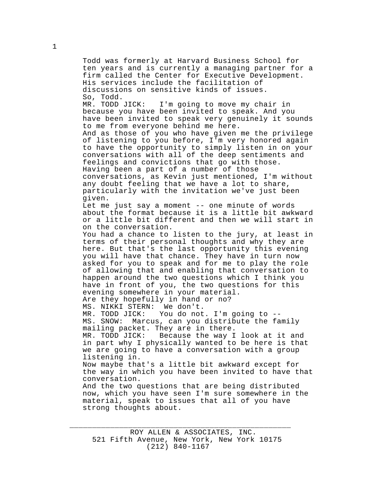Todd was formerly at Harvard Business School for ten years and is currently a managing partner for a firm called the Center for Executive Development. His services include the facilitation of discussions on sensitive kinds of issues. So, Todd. MR. TODD JICK: I'm going to move my chair in because you have been invited to speak. And you have been invited to speak very genuinely it sounds to me from everyone behind me here. And as those of you who have given me the privilege of listening to you before, I'm very honored again to have the opportunity to simply listen in on your conversations with all of the deep sentiments and feelings and convictions that go with those. Having been a part of a number of those conversations, as Kevin just mentioned, I'm without any doubt feeling that we have a lot to share, particularly with the invitation we've just been given. Let me just say a moment -- one minute of words about the format because it is a little bit awkward or a little bit different and then we will start in on the conversation. You had a chance to listen to the jury, at least in terms of their personal thoughts and why they are here. But that's the last opportunity this evening you will have that chance. They have in turn now asked for you to speak and for me to play the role of allowing that and enabling that conversation to happen around the two questions which I think you have in front of you, the two questions for this evening somewhere in your material. Are they hopefully in hand or no? MS. NIKKI STERN: We don't. You do not. I'm going to --MS. SNOW: Marcus, can you distribute the family mailing packet. They are in there. Because the way I look at it and in part why I physically wanted to be here is that we are going to have a conversation with a group listening in. Now maybe that's a little bit awkward except for the way in which you have been invited to have that conversation. And the two questions that are being distributed now, which you have seen I'm sure somewhere in the material, speak to issues that all of you have strong thoughts about.

\_\_\_\_\_\_\_\_\_\_\_\_\_\_\_\_\_\_\_\_\_\_\_\_\_\_\_\_\_\_\_\_\_\_\_\_\_\_\_\_\_\_\_\_\_\_\_\_\_

1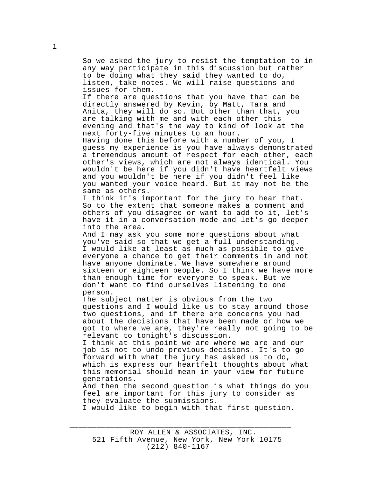So we asked the jury to resist the temptation to in any way participate in this discussion but rather to be doing what they said they wanted to do, listen, take notes. We will raise questions and issues for them. If there are questions that you have that can be directly answered by Kevin, by Matt, Tara and Anita, they will do so. But other than that, you are talking with me and with each other this evening and that's the way to kind of look at the next forty-five minutes to an hour. Having done this before with a number of you, I guess my experience is you have always demonstrated a tremendous amount of respect for each other, each other's views, which are not always identical. You wouldn't be here if you didn't have heartfelt views

and you wouldn't be here if you didn't feel like you wanted your voice heard. But it may not be the same as others.

I think it's important for the jury to hear that. So to the extent that someone makes a comment and others of you disagree or want to add to it, let's have it in a conversation mode and let's go deeper into the area.

And I may ask you some more questions about what you've said so that we get a full understanding. I would like at least as much as possible to give everyone a chance to get their comments in and not have anyone dominate. We have somewhere around sixteen or eighteen people. So I think we have more than enough time for everyone to speak. But we don't want to find ourselves listening to one person.

The subject matter is obvious from the two questions and I would like us to stay around those two questions, and if there are concerns you had about the decisions that have been made or how we got to where we are, they're really not going to be relevant to tonight's discussion.

I think at this point we are where we are and our job is not to undo previous decisions. It's to go forward with what the jury has asked us to do, which is express our heartfelt thoughts about what this memorial should mean in your view for future generations.

And then the second question is what things do you feel are important for this jury to consider as they evaluate the submissions.

I would like to begin with that first question.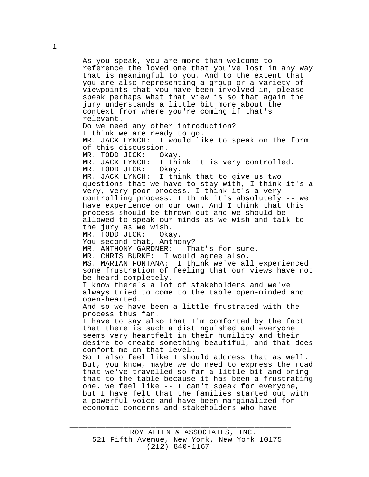As you speak, you are more than welcome to reference the loved one that you've lost in any way that is meaningful to you. And to the extent that you are also representing a group or a variety of viewpoints that you have been involved in, please speak perhaps what that view is so that again the jury understands a little bit more about the context from where you're coming if that's relevant. Do we need any other introduction? I think we are ready to go. I would like to speak on the form of this discussion. MR. TODD JICK: Okay.<br>MR. JACK LYNCH: I thi I think it is very controlled. MR. TODD JICK: Okay. MR. JACK LYNCH: I think that to give us two questions that we have to stay with, I think it's a very, very poor process. I think it's a very controlling process. I think it's absolutely -- we have experience on our own. And I think that this process should be thrown out and we should be allowed to speak our minds as we wish and talk to the jury as we wish. MR. TODD JICK: Okay. You second that, Anthony? MR. ANTHONY GARDNER: That's for sure. MR. CHRIS BURKE: I would agree also.<br>MS. MARIAN FONTANA: I think we've al I think we've all experienced some frustration of feeling that our views have not be heard completely. I know there's a lot of stakeholders and we've always tried to come to the table open-minded and open-hearted. And so we have been a little frustrated with the process thus far. I have to say also that I'm comforted by the fact that there is such a distinguished and everyone seems very heartfelt in their humility and their desire to create something beautiful, and that does comfort me on that level. So I also feel like I should address that as well. But, you know, maybe we do need to express the road that we've travelled so far a little bit and bring that to the table because it has been a frustrating one. We feel like -- I can't speak for everyone, but I have felt that the families started out with a powerful voice and have been marginalized for economic concerns and stakeholders who have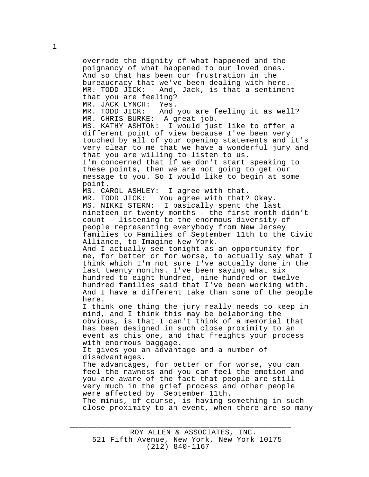overrode the dignity of what happened and the poignancy of what happened to our loved ones. And so that has been our frustration in the bureaucracy that we've been dealing with here. MR. TODD JICK: And, Jack, is that a sentiment that you are feeling? MR. JACK LYNCH: Yes. MR. TODD JICK: And you are feeling it as well? MR. CHRIS BURKE: A great job. MS. KATHY ASHTON: I would just like to offer a different point of view because I've been very touched by all of your opening statements and it's very clear to me that we have a wonderful jury and that you are willing to listen to us. I'm concerned that if we don't start speaking to these points, then we are not going to get our message to you. So I would like to begin at some point. MS. CAROL ASHLEY: I agree with that. MR. TODD JICK: You agree with that? Okay. MS. NIKKI STERN: I basically spent the last nineteen or twenty months - the first month didn't count - listening to the enormous diversity of people representing everybody from New Jersey families to Families of September 11th to the Civic Alliance, to Imagine New York. And I actually see tonight as an opportunity for me, for better or for worse, to actually say what I think which I'm not sure I've actually done in the last twenty months. I've been saying what six hundred to eight hundred, nine hundred or twelve hundred families said that I've been working with. And I have a different take than some of the people here. I think one thing the jury really needs to keep in mind, and I think this may be belaboring the obvious, is that I can't think of a memorial that has been designed in such close proximity to an event as this one, and that freights your process with enormous baggage. It gives you an advantage and a number of disadvantages. The advantages, for better or for worse, you can feel the rawness and you can feel the emotion and you are aware of the fact that people are still very much in the grief process and other people were affected by September 11th. The minus, of course, is having something in such close proximity to an event, when there are so many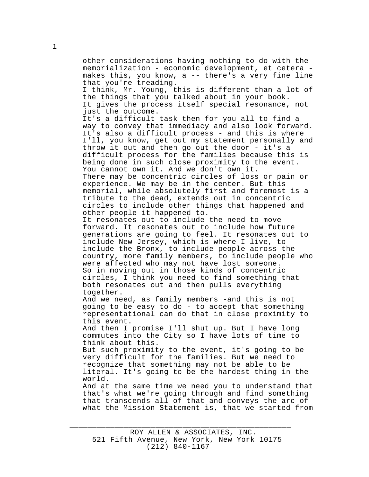other considerations having nothing to do with the memorialization - economic development, et cetera makes this, you know, a -- there's a very fine line that you're treading. I think, Mr. Young, this is different than a lot of the things that you talked about in your book. It gives the process itself special resonance, not just the outcome. It's a difficult task then for you all to find a way to convey that immediacy and also look forward. It's also a difficult process - and this is where I'll, you know, get out my statement personally and throw it out and then go out the door - it's a difficult process for the families because this is being done in such close proximity to the event. You cannot own it. And we don't own it. There may be concentric circles of loss or pain or experience. We may be in the center. But this memorial, while absolutely first and foremost is a tribute to the dead, extends out in concentric circles to include other things that happened and other people it happened to. It resonates out to include the need to move forward. It resonates out to include how future generations are going to feel. It resonates out to include New Jersey, which is where I live, to include the Bronx, to include people across the country, more family members, to include people who were affected who may not have lost someone. So in moving out in those kinds of concentric circles, I think you need to find something that both resonates out and then pulls everything together. And we need, as family members -and this is not going to be easy to do - to accept that something representational can do that in close proximity to this event. And then I promise I'll shut up. But I have long commutes into the City so I have lots of time to think about this. But such proximity to the event, it's going to be very difficult for the families. But we need to recognize that something may not be able to be literal. It's going to be the hardest thing in the world. And at the same time we need you to understand that that's what we're going through and find something that transcends all of that and conveys the arc of what the Mission Statement is, that we started from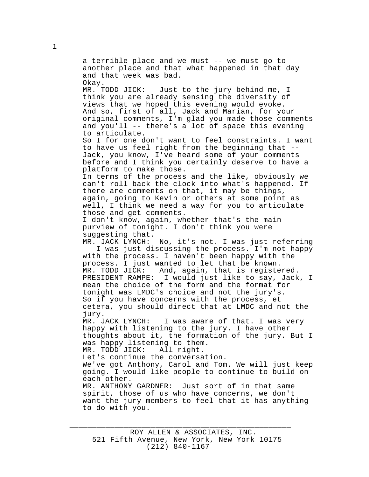a terrible place and we must -- we must go to another place and that what happened in that day and that week was bad. Okay. MR. TODD JICK: Just to the jury behind me, I think you are already sensing the diversity of views that we hoped this evening would evoke. And so, first of all, Jack and Marian, for your original comments, I'm glad you made those comments and you'll -- there's a lot of space this evening to articulate. So I for one don't want to feel constraints. I want to have us feel right from the beginning that -- Jack, you know, I've heard some of your comments before and I think you certainly deserve to have a platform to make those. In terms of the process and the like, obviously we can't roll back the clock into what's happened. If there are comments on that, it may be things, again, going to Kevin or others at some point as well, I think we need a way for you to articulate those and get comments. I don't know, again, whether that's the main purview of tonight. I don't think you were suggesting that. MR. JACK LYNCH: No, it's not. I was just referring -- I was just discussing the process. I'm not happy with the process. I haven't been happy with the process. I just wanted to let that be known. MR. TODD JICK: And, again, that is registered. PRESIDENT RAMPE: I would just like to say, Jack, I mean the choice of the form and the format for tonight was LMDC's choice and not the jury's. So if you have concerns with the process, et cetera, you should direct that at LMDC and not the jury.<br>MR. JACK LYNCH: I was aware of that. I was very happy with listening to the jury. I have other thoughts about it, the formation of the jury. But I was happy listening to them. MR. TODD JICK: All right. Let's continue the conversation. We've got Anthony, Carol and Tom. We will just keep going. I would like people to continue to build on each other. MR. ANTHONY GARDNER: Just sort of in that same spirit, those of us who have concerns, we don't want the jury members to feel that it has anything to do with you.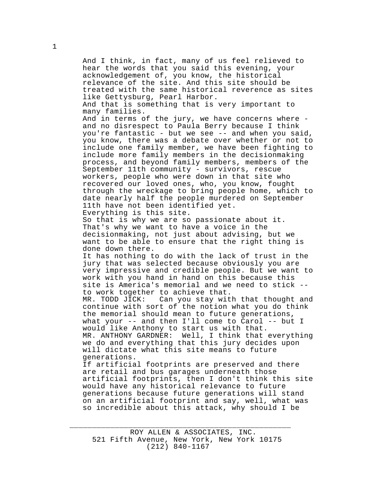And I think, in fact, many of us feel relieved to hear the words that you said this evening, your acknowledgement of, you know, the historical relevance of the site. And this site should be treated with the same historical reverence as sites like Gettysburg, Pearl Harbor. And that is something that is very important to many families. And in terms of the jury, we have concerns where and no disrespect to Paula Berry because I think you're fantastic - but we see -- and when you said, you know, there was a debate over whether or not to include one family member, we have been fighting to include more family members in the decisionmaking process, and beyond family members, members of the September 11th community - survivors, rescue workers, people who were down in that site who recovered our loved ones, who, you know, fought through the wreckage to bring people home, which to date nearly half the people murdered on September 11th have not been identified yet. Everything is this site. So that is why we are so passionate about it. That's why we want to have a voice in the decisionmaking, not just about advising, but we want to be able to ensure that the right thing is done down there. It has nothing to do with the lack of trust in the jury that was selected because obviously you are very impressive and credible people. But we want to work with you hand in hand on this because this site is America's memorial and we need to stick - to work together to achieve that.<br>MR. TODD JICK: Can you stay wit Can you stay with that thought and continue with sort of the notion what you do think the memorial should mean to future generations, what your -- and then I'll come to Carol -- but I would like Anthony to start us with that. MR. ANTHONY GARDNER: Well, I think that everything we do and everything that this jury decides upon will dictate what this site means to future generations. If artificial footprints are preserved and there are retail and bus garages underneath those artificial footprints, then I don't think this site would have any historical relevance to future generations because future generations will stand on an artificial footprint and say, well, what was so incredible about this attack, why should I be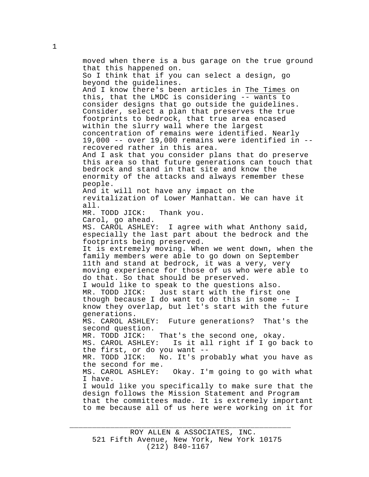moved when there is a bus garage on the true ground that this happened on. So I think that if you can select a design, go beyond the guidelines. And I know there's been articles in The Times on this, that the LMDC is considering -- wants to consider designs that go outside the guidelines. Consider, select a plan that preserves the true footprints to bedrock, that true area encased within the slurry wall where the largest concentration of remains were identified. Nearly 19,000 -- over 19,000 remains were identified in - recovered rather in this area. And I ask that you consider plans that do preserve this area so that future generations can touch that bedrock and stand in that site and know the enormity of the attacks and always remember these people. And it will not have any impact on the revitalization of Lower Manhattan. We can have it all. MR. TODD JICK: Thank you. Carol, go ahead. MS. CAROL ASHLEY: I agree with what Anthony said, especially the last part about the bedrock and the footprints being preserved. It is extremely moving. When we went down, when the family members were able to go down on September 11th and stand at bedrock, it was a very, very moving experience for those of us who were able to do that. So that should be preserved. I would like to speak to the questions also. MR. TODD JICK: Just start with the first one though because I do want to do this in some -- I know they overlap, but let's start with the future generations. MS. CAROL ASHLEY: Future generations? That's the second question. MR. TODD JICK: That's the second one, okay. Is it all right if I go back to the first, or do you want -- MR. TODD JICK: No. It's probably what you have as the second for me. MS. CAROL ASHLEY: Okay. I'm going to go with what I have. I would like you specifically to make sure that the design follows the Mission Statement and Program that the committees made. It is extremely important to me because all of us here were working on it for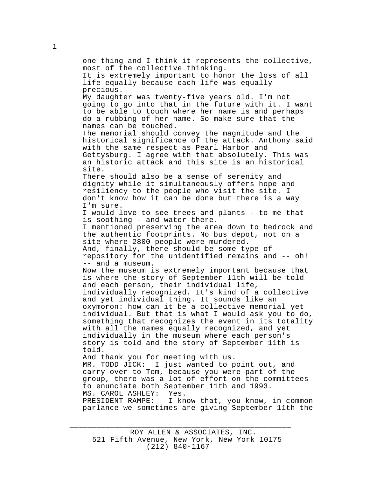one thing and I think it represents the collective, most of the collective thinking. It is extremely important to honor the loss of all life equally because each life was equally precious. My daughter was twenty-five years old. I'm not going to go into that in the future with it. I want to be able to touch where her name is and perhaps do a rubbing of her name. So make sure that the names can be touched. The memorial should convey the magnitude and the historical significance of the attack. Anthony said with the same respect as Pearl Harbor and Gettysburg. I agree with that absolutely. This was an historic attack and this site is an historical site. There should also be a sense of serenity and dignity while it simultaneously offers hope and resiliency to the people who visit the site. I don't know how it can be done but there is a way I'm sure. I would love to see trees and plants - to me that is soothing - and water there. I mentioned preserving the area down to bedrock and the authentic footprints. No bus depot, not on a site where 2800 people were murdered. And, finally, there should be some type of repository for the unidentified remains and -- oh! -- and a museum. Now the museum is extremely important because that is where the story of September 11th will be told and each person, their individual life, individually recognized. It's kind of a collective and yet individual thing. It sounds like an oxymoron: how can it be a collective memorial yet individual. But that is what I would ask you to do, something that recognizes the event in its totality with all the names equally recognized, and yet individually in the museum where each person's story is told and the story of September 11th is told. And thank you for meeting with us. MR. TODD JICK: I just wanted to point out, and carry over to Tom, because you were part of the group, there was a lot of effort on the committees to enunciate both September 11th and 1993.<br>MS. CAROL ASHLEY: Yes. MS. CAROL ASHLEY:<br>PRESIDENT RAMPE: I know that, you know, in common parlance we sometimes are giving September 11th the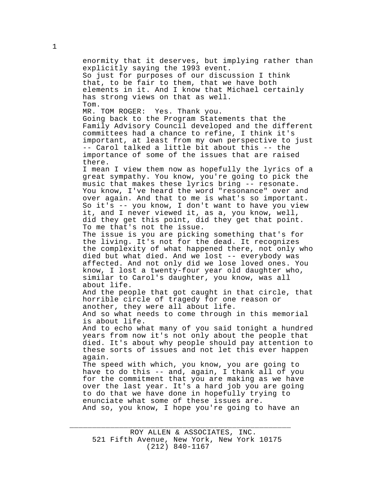enormity that it deserves, but implying rather than explicitly saying the 1993 event. So just for purposes of our discussion I think that, to be fair to them, that we have both elements in it. And I know that Michael certainly has strong views on that as well. Tom. MR. TOM ROGER: Yes. Thank you. Going back to the Program Statements that the Family Advisory Council developed and the different committees had a chance to refine, I think it's important, at least from my own perspective to just

there. I mean I view them now as hopefully the lyrics of a great sympathy. You know, you're going to pick the music that makes these lyrics bring -- resonate. You know, I've heard the word "resonance" over and over again. And that to me is what's so important. So it's -- you know, I don't want to have you view it, and I never viewed it, as a, you know, well, did they get this point, did they get that point. To me that's not the issue.

-- Carol talked a little bit about this -- the importance of some of the issues that are raised

The issue is you are picking something that's for the living. It's not for the dead. It recognizes the complexity of what happened there, not only who died but what died. And we lost -- everybody was affected. And not only did we lose loved ones. You know, I lost a twenty-four year old daughter who, similar to Carol's daughter, you know, was all about life.

And the people that got caught in that circle, that horrible circle of tragedy for one reason or another, they were all about life.

And so what needs to come through in this memorial is about life.

And to echo what many of you said tonight a hundred years from now it's not only about the people that died. It's about why people should pay attention to these sorts of issues and not let this ever happen again.

The speed with which, you know, you are going to have to do this -- and, again, I thank all of you for the commitment that you are making as we have over the last year. It's a hard job you are going to do that we have done in hopefully trying to enunciate what some of these issues are. And so, you know, I hope you're going to have an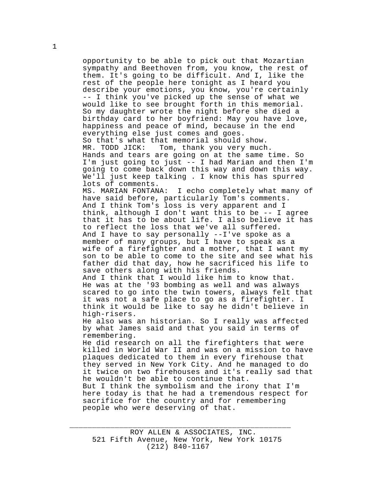opportunity to be able to pick out that Mozartian sympathy and Beethoven from, you know, the rest of them. It's going to be difficult. And I, like the rest of the people here tonight as I heard you describe your emotions, you know, you're certainly -- I think you've picked up the sense of what we would like to see brought forth in this memorial. So my daughter wrote the night before she died a birthday card to her boyfriend: May you have love, happiness and peace of mind, because in the end everything else just comes and goes. So that's what that memorial should show. MR. TODD JICK: Tom, thank you very much. Hands and tears are going on at the same time. So I'm just going to just -- I had Marian and then I'm going to come back down this way and down this way. We'll just keep talking . I know this has spurred lots of comments. MS. MARIAN FONTANA: I echo completely what many of have said before, particularly Tom's comments. And I think Tom's loss is very apparent and I think, although I don't want this to be -- I agree that it has to be about life. I also believe it has to reflect the loss that we've all suffered. And I have to say personally --I've spoke as a member of many groups, but I have to speak as a wife of a firefighter and a mother, that I want my son to be able to come to the site and see what his father did that day, how he sacrificed his life to save others along with his friends. And I think that I would like him to know that. He was at the '93 bombing as well and was always scared to go into the twin towers, always felt that it was not a safe place to go as a firefighter. I think it would be like to say he didn't believe in high-risers. He also was an historian. So I really was affected by what James said and that you said in terms of remembering. He did research on all the firefighters that were killed in World War II and was on a mission to have plaques dedicated to them in every firehouse that they served in New York City. And he managed to do it twice on two firehouses and it's really sad that he wouldn't be able to continue that. But I think the symbolism and the irony that I'm here today is that he had a tremendous respect for sacrifice for the country and for remembering people who were deserving of that.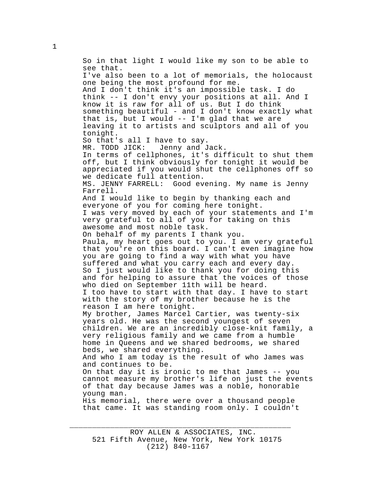So in that light I would like my son to be able to see that. I've also been to a lot of memorials, the holocaust one being the most profound for me. And I don't think it's an impossible task. I do think -- I don't envy your positions at all. And I know it is raw for all of us. But I do think something beautiful - and I don't know exactly what that is, but I would -- I'm glad that we are leaving it to artists and sculptors and all of you tonight. So that's all I have to say. MR. TODD JICK: Jenny and Jack. In terms of cellphones, it's difficult to shut them off, but I think obviously for tonight it would be appreciated if you would shut the cellphones off so we dedicate full attention. MS. JENNY FARRELL: Good evening. My name is Jenny Farrell. And I would like to begin by thanking each and everyone of you for coming here tonight. I was very moved by each of your statements and I'm very grateful to all of you for taking on this awesome and most noble task. On behalf of my parents I thank you. Paula, my heart goes out to you. I am very grateful that you're on this board. I can't even imagine how you are going to find a way with what you have suffered and what you carry each and every day. So I just would like to thank you for doing this and for helping to assure that the voices of those who died on September 11th will be heard. I too have to start with that day. I have to start with the story of my brother because he is the reason I am here tonight. My brother, James Marcel Cartier, was twenty-six years old. He was the second youngest of seven children. We are an incredibly close-knit family, a very religious family and we came from a humble home in Queens and we shared bedrooms, we shared beds, we shared everything. And who I am today is the result of who James was and continues to be. On that day it is ironic to me that James -- you cannot measure my brother's life on just the events of that day because James was a noble, honorable young man. His memorial, there were over a thousand people that came. It was standing room only. I couldn't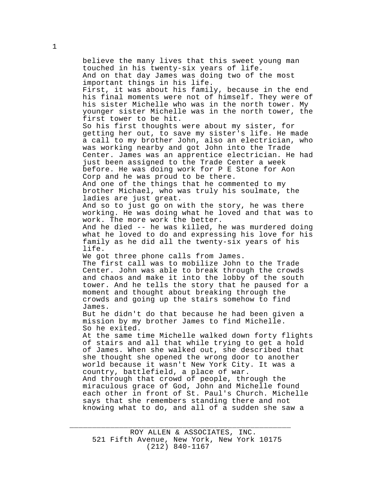believe the many lives that this sweet young man touched in his twenty-six years of life. And on that day James was doing two of the most important things in his life. First, it was about his family, because in the end his final moments were not of himself. They were of his sister Michelle who was in the north tower. My younger sister Michelle was in the north tower, the first tower to be hit. So his first thoughts were about my sister, for getting her out, to save my sister's life. He made a call to my brother John, also an electrician, who was working nearby and got John into the Trade Center. James was an apprentice electrician. He had just been assigned to the Trade Center a week before. He was doing work for P E Stone for Aon Corp and he was proud to be there. And one of the things that he commented to my brother Michael, who was truly his soulmate, the ladies are just great. And so to just go on with the story, he was there working. He was doing what he loved and that was to work. The more work the better. And he died -- he was killed, he was murdered doing what he loved to do and expressing his love for his family as he did all the twenty-six years of his life. We got three phone calls from James. The first call was to mobilize John to the Trade Center. John was able to break through the crowds and chaos and make it into the lobby of the south tower. And he tells the story that he paused for a moment and thought about breaking through the crowds and going up the stairs somehow to find James. But he didn't do that because he had been given a mission by my brother James to find Michelle. So he exited. At the same time Michelle walked down forty flights of stairs and all that while trying to get a hold of James. When she walked out, she described that she thought she opened the wrong door to another world because it wasn't New York City. It was a country, battlefield, a place of war. And through that crowd of people, through the miraculous grace of God, John and Michelle found each other in front of St. Paul's Church. Michelle says that she remembers standing there and not knowing what to do, and all of a sudden she saw a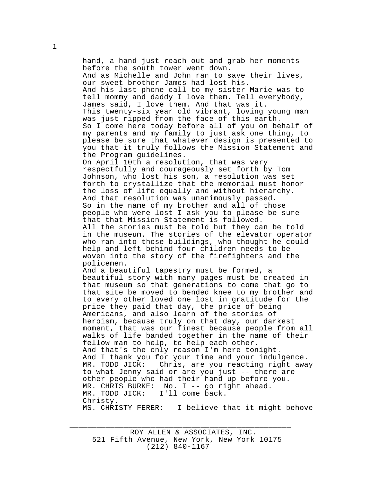hand, a hand just reach out and grab her moments before the south tower went down. And as Michelle and John ran to save their lives, our sweet brother James had lost his. And his last phone call to my sister Marie was to tell mommy and daddy I love them. Tell everybody, James said, I love them. And that was it. This twenty-six year old vibrant, loving young man was just ripped from the face of this earth. So I come here today before all of you on behalf of my parents and my family to just ask one thing, to please be sure that whatever design is presented to you that it truly follows the Mission Statement and the Program guidelines. On April 10th a resolution, that was very respectfully and courageously set forth by Tom Johnson, who lost his son, a resolution was set forth to crystallize that the memorial must honor the loss of life equally and without hierarchy. And that resolution was unanimously passed. So in the name of my brother and all of those people who were lost I ask you to please be sure that that Mission Statement is followed. All the stories must be told but they can be told in the museum. The stories of the elevator operator who ran into those buildings, who thought he could help and left behind four children needs to be woven into the story of the firefighters and the policemen. And a beautiful tapestry must be formed, a beautiful story with many pages must be created in that museum so that generations to come that go to that site be moved to bended knee to my brother and to every other loved one lost in gratitude for the price they paid that day, the price of being Americans, and also learn of the stories of heroism, because truly on that day, our darkest moment, that was our finest because people from all walks of life banded together in the name of their fellow man to help, to help each other. And that's the only reason I'm here tonight. And I thank you for your time and your indulgence.<br>MR. TODD JICK: Chris, are you reacting right awa Chris, are you reacting right away to what Jenny said or are you just -- there are other people who had their hand up before you. MR. CHRIS BURKE: No. I -- go right ahead.<br>MR. TODD JICK: I'll come back. I'll come back. Christy. MS. CHRISTY FERER: I believe that it might behove

ROY ALLEN & ASSOCIATES, INC. 521 Fifth Avenue, New York, New York 10175 (212) 840-1167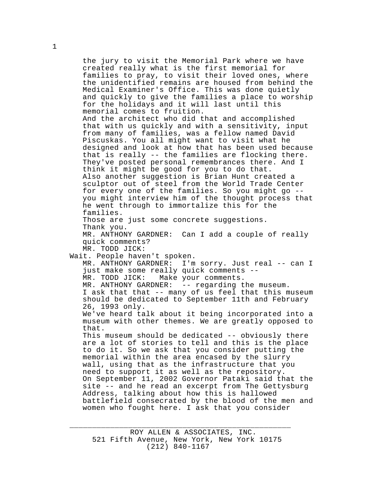the jury to visit the Memorial Park where we have created really what is the first memorial for families to pray, to visit their loved ones, where the unidentified remains are housed from behind the Medical Examiner's Office. This was done quietly and quickly to give the families a place to worship for the holidays and it will last until this memorial comes to fruition. And the architect who did that and accomplished that with us quickly and with a sensitivity, input from many of families, was a fellow named David Piscuskas. You all might want to visit what he designed and look at how that has been used because that is really -- the families are flocking there. They've posted personal remembrances there. And I think it might be good for you to do that. Also another suggestion is Brian Hunt created a sculptor out of steel from the World Trade Center for every one of the families. So you might go - you might interview him of the thought process that he went through to immortalize this for the families. Those are just some concrete suggestions. Thank you. MR. ANTHONY GARDNER: Can I add a couple of really quick comments? MR. TODD JICK: Wait. People haven't spoken. MR. ANTHONY GARDNER: I'm sorry. Just real -- can I just make some really quick comments -- MR. TODD JICK: Make your comments. MR. ANTHONY GARDNER: -- regarding the museum. I ask that that -- many of us feel that this museum should be dedicated to September 11th and February 26, 1993 only. We've heard talk about it being incorporated into a museum with other themes. We are greatly opposed to that. This museum should be dedicated -- obviously there are a lot of stories to tell and this is the place to do it. So we ask that you consider putting the memorial within the area encased by the slurry wall, using that as the infrastructure that you need to support it as well as the repository. On September 11, 2002 Governor Pataki said that the site -- and he read an excerpt from The Gettysburg Address, talking about how this is hallowed battlefield consecrated by the blood of the men and women who fought here. I ask that you consider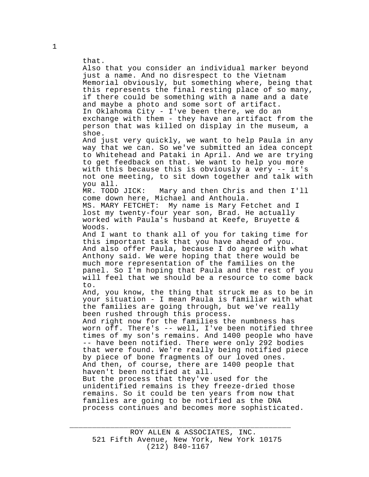that. Also that you consider an individual marker beyond just a name. And no disrespect to the Vietnam Memorial obviously, but something where, being that this represents the final resting place of so many, if there could be something with a name and a date and maybe a photo and some sort of artifact. In Oklahoma City - I've been there, we do an exchange with them - they have an artifact from the person that was killed on display in the museum, a shoe. And just very quickly, we want to help Paula in any way that we can. So we've submitted an idea concept to Whitehead and Pataki in April. And we are trying to get feedback on that. We want to help you more with this because this is obviously a very -- it's not one meeting, to sit down together and talk with you all. MR. TODD JICK: Mary and then Chris and then I'll come down here, Michael and Anthoula. MS. MARY FETCHET: My name is Mary Fetchet and I lost my twenty-four year son, Brad. He actually worked with Paula's husband at Keefe, Bruyette & Woods. And I want to thank all of you for taking time for this important task that you have ahead of you. And also offer Paula, because I do agree with what Anthony said. We were hoping that there would be much more representation of the families on the panel. So I'm hoping that Paula and the rest of you will feel that we should be a resource to come back to. And, you know, the thing that struck me as to be in your situation - I mean Paula is familiar with what the families are going through, but we've really been rushed through this process. And right now for the families the numbness has worn off. There's -- well, I've been notified three times of my son's remains. And 1400 people who have -- have been notified. There were only 292 bodies that were found. We're really being notified piece by piece of bone fragments of our loved ones. And then, of course, there are 1400 people that haven't been notified at all. But the process that they've used for the unidentified remains is they freeze-dried those remains. So it could be ten years from now that families are going to be notified as the DNA process continues and becomes more sophisticated.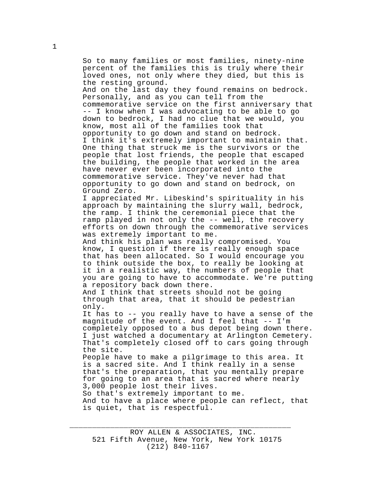So to many families or most families, ninety-nine percent of the families this is truly where their loved ones, not only where they died, but this is the resting ground. And on the last day they found remains on bedrock. Personally, and as you can tell from the commemorative service on the first anniversary that -- I know when I was advocating to be able to go down to bedrock, I had no clue that we would, you know, most all of the families took that opportunity to go down and stand on bedrock. I think it's extremely important to maintain that. One thing that struck me is the survivors or the people that lost friends, the people that escaped the building, the people that worked in the area have never ever been incorporated into the commemorative service. They've never had that opportunity to go down and stand on bedrock, on Ground Zero. I appreciated Mr. Libeskind's spirituality in his approach by maintaining the slurry wall, bedrock, the ramp. I think the ceremonial piece that the ramp played in not only the -- well, the recovery efforts on down through the commemorative services was extremely important to me. And think his plan was really compromised. You know, I question if there is really enough space that has been allocated. So I would encourage you to think outside the box, to really be looking at it in a realistic way, the numbers of people that you are going to have to accommodate. We're putting a repository back down there. And I think that streets should not be going through that area, that it should be pedestrian only. It has to -- you really have to have a sense of the magnitude of the event. And I feel that -- I'm completely opposed to a bus depot being down there. I just watched a documentary at Arlington Cemetery. That's completely closed off to cars going through the site. People have to make a pilgrimage to this area. It is a sacred site. And I think really in a sense that's the preparation, that you mentally prepare for going to an area that is sacred where nearly 3,000 people lost their lives. So that's extremely important to me.

And to have a place where people can reflect, that is quiet, that is respectful.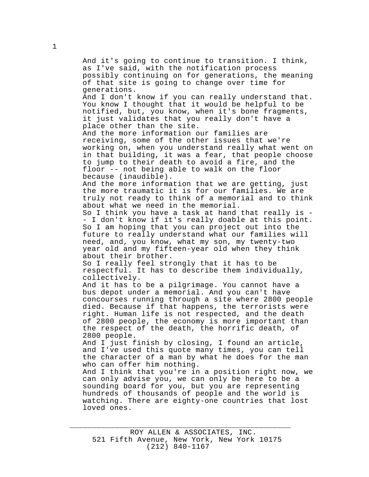And it's going to continue to transition. I think, as I've said, with the notification process possibly continuing on for generations, the meaning of that site is going to change over time for generations. And I don't know if you can really understand that. You know I thought that it would be helpful to be notified, but, you know, when it's bone fragments, it just validates that you really don't have a place other than the site. And the more information our families are receiving, some of the other issues that we're working on, when you understand really what went on in that building, it was a fear, that people choose to jump to their death to avoid a fire, and the floor -- not being able to walk on the floor because (inaudible). And the more information that we are getting, just the more traumatic it is for our families. We are truly not ready to think of a memorial and to think about what we need in the memorial. So I think you have a task at hand that really is - - I don't know if it's really doable at this point. So I am hoping that you can project out into the future to really understand what our families will need, and, you know, what my son, my twenty-two year old and my fifteen-year old when they think about their brother. So I really feel strongly that it has to be respectful. It has to describe them individually, collectively. And it has to be a pilgrimage. You cannot have a bus depot under a memorial. And you can't have concourses running through a site where 2800 people died. Because if that happens, the terrorists were right. Human life is not respected, and the death of 2800 people, the economy is more important than the respect of the death, the horrific death, of 2800 people. And I just finish by closing, I found an article, and I've used this quote many times, you can tell the character of a man by what he does for the man who can offer him nothing. And I think that you're in a position right now, we can only advise you, we can only be here to be a sounding board for you, but you are representing hundreds of thousands of people and the world is watching. There are eighty-one countries that lost loved ones.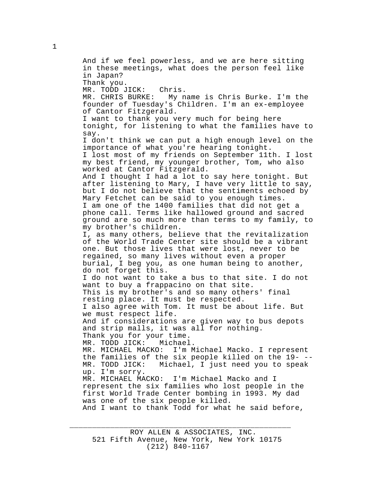And if we feel powerless, and we are here sitting in these meetings, what does the person feel like in Japan? Thank you. MR. TODD JICK: Chris. MR. CHRIS BURKE: My name is Chris Burke. I'm the founder of Tuesday's Children. I'm an ex-employee of Cantor Fitzgerald. I want to thank you very much for being here tonight, for listening to what the families have to say. I don't think we can put a high enough level on the importance of what you're hearing tonight. I lost most of my friends on September 11th. I lost my best friend, my younger brother, Tom, who also worked at Cantor Fitzgerald. And I thought I had a lot to say here tonight. But after listening to Mary, I have very little to say, but I do not believe that the sentiments echoed by Mary Fetchet can be said to you enough times. I am one of the 1400 families that did not get a phone call. Terms like hallowed ground and sacred ground are so much more than terms to my family, to my brother's children. I, as many others, believe that the revitalization of the World Trade Center site should be a vibrant one. But those lives that were lost, never to be regained, so many lives without even a proper burial, I beg you, as one human being to another, do not forget this. I do not want to take a bus to that site. I do not want to buy a frappacino on that site. This is my brother's and so many others' final resting place. It must be respected. I also agree with Tom. It must be about life. But we must respect life. And if considerations are given way to bus depots and strip malls, it was all for nothing. Thank you for your time. MR. TODD JICK: Michael. MR. MICHAEL MACKO: I'm Michael Macko. I represent the families of the six people killed on the 19---<br>MR. TODD JICK: Michael, I just need you to speak Michael, I just need you to speak up. I'm sorry.<br>MR. MICHAEL MACKO: I'm Michael Macko and I represent the six families who lost people in the first World Trade Center bombing in 1993. My dad was one of the six people killed. And I want to thank Todd for what he said before,

\_\_\_\_\_\_\_\_\_\_\_\_\_\_\_\_\_\_\_\_\_\_\_\_\_\_\_\_\_\_\_\_\_\_\_\_\_\_\_\_\_\_\_\_\_\_\_\_\_

1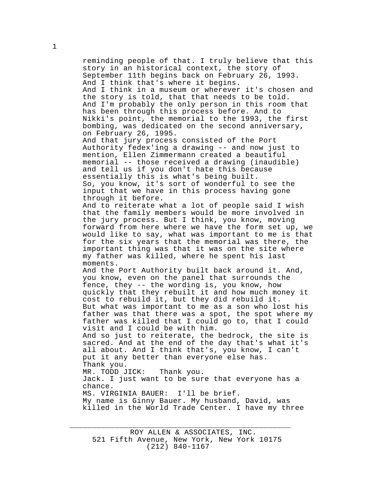reminding people of that. I truly believe that this story in an historical context, the story of September 11th begins back on February 26, 1993. And I think that's where it begins. And I think in a museum or wherever it's chosen and the story is told, that that needs to be told. And I'm probably the only person in this room that has been through this process before. And to Nikki's point, the memorial to the 1993, the first bombing, was dedicated on the second anniversary, on February 26, 1995. And that jury process consisted of the Port Authority fedex'ing a drawing -- and now just to mention, Ellen Zimmermann created a beautiful memorial -- those received a drawing (inaudible) and tell us if you don't hate this because essentially this is what's being built. So, you know, it's sort of wonderful to see the input that we have in this process having gone through it before. And to reiterate what a lot of people said I wish that the family members would be more involved in the jury process. But I think, you know, moving forward from here where we have the form set up, we would like to say, what was important to me is that for the six years that the memorial was there, the important thing was that it was on the site where my father was killed, where he spent his last moments. And the Port Authority built back around it. And, you know, even on the panel that surrounds the fence, they -- the wording is, you know, how quickly that they rebuilt it and how much money it cost to rebuild it, but they did rebuild it. But what was important to me as a son who lost his father was that there was a spot, the spot where my father was killed that I could go to, that I could visit and I could be with him. And so just to reiterate, the bedrock, the site is sacred. And at the end of the day that's what it's all about. And I think that's, you know, I can't put it any better than everyone else has. Thank you. MR. TODD JICK: Thank you. Jack. I just want to be sure that everyone has a chance. MS. VIRGINIA BAUER: I'll be brief. My name is Ginny Bauer. My husband, David, was killed in the World Trade Center. I have my three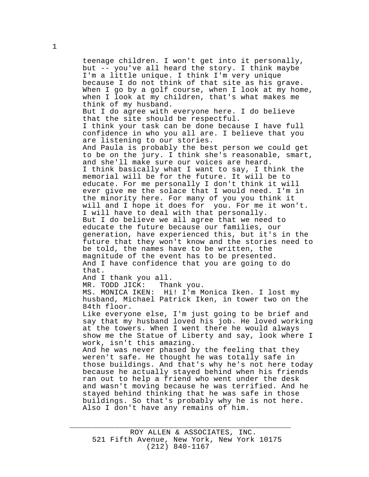teenage children. I won't get into it personally, but -- you've all heard the story. I think maybe I'm a little unique. I think I'm very unique because I do not think of that site as his grave. When I go by a golf course, when I look at my home, when I look at my children, that's what makes me think of my husband. But I do agree with everyone here. I do believe that the site should be respectful. I think your task can be done because I have full confidence in who you all are. I believe that you are listening to our stories. And Paula is probably the best person we could get to be on the jury. I think she's reasonable, smart, and she'll make sure our voices are heard. I think basically what I want to say, I think the memorial will be for the future. It will be to educate. For me personally I don't think it will ever give me the solace that I would need. I'm in the minority here. For many of you you think it will and I hope it does for you. For me it won't. I will have to deal with that personally. But I do believe we all agree that we need to educate the future because our families, our generation, have experienced this, but it's in the future that they won't know and the stories need to be told, the names have to be written, the magnitude of the event has to be presented. And I have confidence that you are going to do that. And I thank you all. MR. TODD JICK: Thank you. MS. MONICA IKEN: Hi! I'm Monica Iken. I lost my husband, Michael Patrick Iken, in tower two on the 84th floor. Like everyone else, I'm just going to be brief and say that my husband loved his job. He loved working at the towers. When I went there he would always show me the Statue of Liberty and say, look where I work, isn't this amazing. And he was never phased by the feeling that they weren't safe. He thought he was totally safe in those buildings. And that's why he's not here today because he actually stayed behind when his friends ran out to help a friend who went under the desk

and wasn't moving because he was terrified. And he stayed behind thinking that he was safe in those buildings. So that's probably why he is not here. Also I don't have any remains of him.

\_\_\_\_\_\_\_\_\_\_\_\_\_\_\_\_\_\_\_\_\_\_\_\_\_\_\_\_\_\_\_\_\_\_\_\_\_\_\_\_\_\_\_\_\_\_\_\_\_

1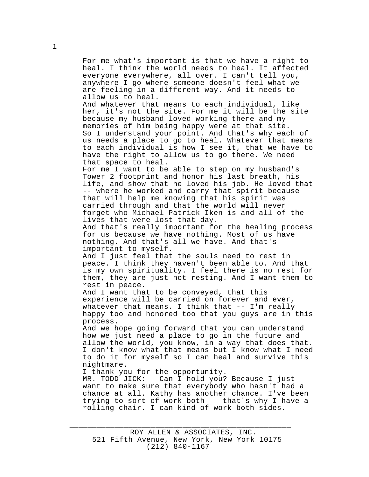For me what's important is that we have a right to heal. I think the world needs to heal. It affected everyone everywhere, all over. I can't tell you, anywhere I go where someone doesn't feel what we are feeling in a different way. And it needs to allow us to heal. And whatever that means to each individual, like

her, it's not the site. For me it will be the site because my husband loved working there and my memories of him being happy were at that site. So I understand your point. And that's why each of us needs a place to go to heal. Whatever that means to each individual is how I see it, that we have to have the right to allow us to go there. We need that space to heal.

For me I want to be able to step on my husband's Tower 2 footprint and honor his last breath, his life, and show that he loved his job. He loved that -- where he worked and carry that spirit because that will help me knowing that his spirit was carried through and that the world will never forget who Michael Patrick Iken is and all of the lives that were lost that day.

And that's really important for the healing process for us because we have nothing. Most of us have nothing. And that's all we have. And that's important to myself.

And I just feel that the souls need to rest in peace. I think they haven't been able to. And that is my own spirituality. I feel there is no rest for them, they are just not resting. And I want them to rest in peace.

And I want that to be conveyed, that this experience will be carried on forever and ever, whatever that means. I think that  $--$  I'm really happy too and honored too that you guys are in this process.

And we hope going forward that you can understand how we just need a place to go in the future and allow the world, you know, in a way that does that. I don't know what that means but I know what I need to do it for myself so I can heal and survive this nightmare.

I thank you for the opportunity.

MR. TODD JICK: Can I hold you? Because I just want to make sure that everybody who hasn't had a chance at all. Kathy has another chance. I've been trying to sort of work both -- that's why I have a rolling chair. I can kind of work both sides.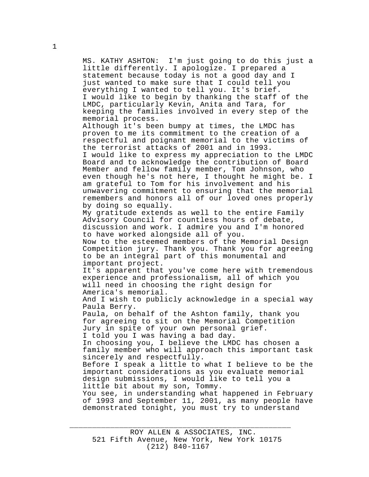MS. KATHY ASHTON: I'm just going to do this just a little differently. I apologize. I prepared a statement because today is not a good day and I just wanted to make sure that I could tell you everything I wanted to tell you. It's brief. I would like to begin by thanking the staff of the LMDC, particularly Kevin, Anita and Tara, for keeping the families involved in every step of the memorial process. Although it's been bumpy at times, the LMDC has proven to me its commitment to the creation of a respectful and poignant memorial to the victims of the terrorist attacks of 2001 and in 1993. I would like to express my appreciation to the LMDC Board and to acknowledge the contribution of Board Member and fellow family member, Tom Johnson, who even though he's not here, I thought he might be. I am grateful to Tom for his involvement and his unwavering commitment to ensuring that the memorial remembers and honors all of our loved ones properly by doing so equally. My gratitude extends as well to the entire Family Advisory Council for countless hours of debate, discussion and work. I admire you and I'm honored to have worked alongside all of you. Now to the esteemed members of the Memorial Design Competition jury. Thank you. Thank you for agreeing to be an integral part of this monumental and important project. It's apparent that you've come here with tremendous experience and professionalism, all of which you will need in choosing the right design for America's memorial. And I wish to publicly acknowledge in a special way Paula Berry. Paula, on behalf of the Ashton family, thank you for agreeing to sit on the Memorial Competition Jury in spite of your own personal grief. I told you I was having a bad day. In choosing you, I believe the LMDC has chosen a family member who will approach this important task sincerely and respectfully. Before I speak a little to what I believe to be the important considerations as you evaluate memorial design submissions, I would like to tell you a little bit about my son, Tommy. You see, in understanding what happened in February of 1993 and September 11, 2001, as many people have demonstrated tonight, you must try to understand

\_\_\_\_\_\_\_\_\_\_\_\_\_\_\_\_\_\_\_\_\_\_\_\_\_\_\_\_\_\_\_\_\_\_\_\_\_\_\_\_\_\_\_\_\_\_\_\_\_

1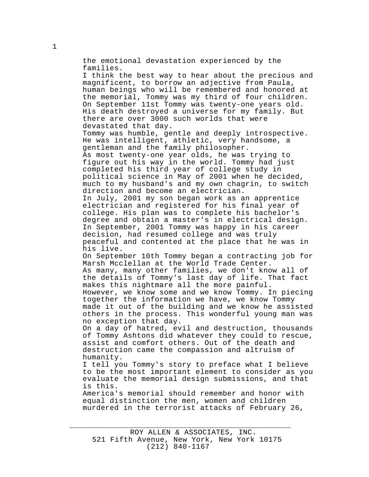the emotional devastation experienced by the families. I think the best way to hear about the precious and magnificent, to borrow an adjective from Paula, human beings who will be remembered and honored at the memorial, Tommy was my third of four children. On September 11st Tommy was twenty-one years old. His death destroyed a universe for my family. But there are over 3000 such worlds that were devastated that day. Tommy was humble, gentle and deeply introspective. He was intelligent, athletic, very handsome, a gentleman and the family philosopher. As most twenty-one year olds, he was trying to figure out his way in the world. Tommy had just completed his third year of college study in political science in May of 2001 when he decided, much to my husband's and my own chagrin, to switch direction and become an electrician. In July, 2001 my son began work as an apprentice electrician and registered for his final year of college. His plan was to complete his bachelor's degree and obtain a master's in electrical design. In September, 2001 Tommy was happy in his career decision, had resumed college and was truly peaceful and contented at the place that he was in his live. On September 10th Tommy began a contracting job for Marsh Mcclellan at the World Trade Center. As many, many other families, we don't know all of the details of Tommy's last day of life. That fact makes this nightmare all the more painful. However, we know some and we know Tommy. In piecing together the information we have, we know Tommy made it out of the building and we know he assisted others in the process. This wonderful young man was no exception that day. On a day of hatred, evil and destruction, thousands of Tommy Ashtons did whatever they could to rescue, assist and comfort others. Out of the death and destruction came the compassion and altruism of humanity. I tell you Tommy's story to preface what I believe to be the most important element to consider as you evaluate the memorial design submissions, and that is this.

America's memorial should remember and honor with equal distinction the men, women and children murdered in the terrorist attacks of February 26,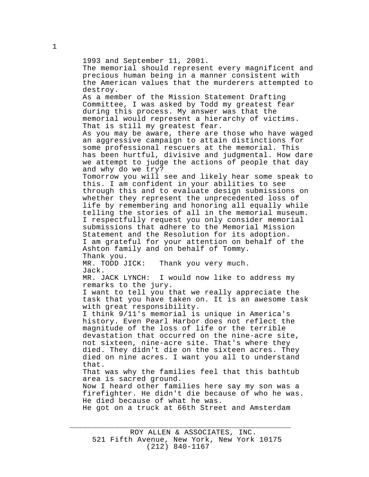1993 and September 11, 2001. The memorial should represent every magnificent and precious human being in a manner consistent with the American values that the murderers attempted to destroy. As a member of the Mission Statement Drafting Committee, I was asked by Todd my greatest fear during this process. My answer was that the memorial would represent a hierarchy of victims. That is still my greatest fear. As you may be aware, there are those who have waged an aggressive campaign to attain distinctions for some professional rescuers at the memorial. This has been hurtful, divisive and judgmental. How dare we attempt to judge the actions of people that day and why do we try? Tomorrow you will see and likely hear some speak to this. I am confident in your abilities to see through this and to evaluate design submissions on whether they represent the unprecedented loss of life by remembering and honoring all equally while telling the stories of all in the memorial museum. I respectfully request you only consider memorial submissions that adhere to the Memorial Mission Statement and the Resolution for its adoption. I am grateful for your attention on behalf of the Ashton family and on behalf of Tommy. Thank you. MR. TODD JICK: Thank you very much. Jack. MR. JACK LYNCH: I would now like to address my remarks to the jury. I want to tell you that we really appreciate the task that you have taken on. It is an awesome task with great responsibility. I think 9/11's memorial is unique in America's history. Even Pearl Harbor does not reflect the magnitude of the loss of life or the terrible devastation that occurred on the nine-acre site, not sixteen, nine-acre site. That's where they died. They didn't die on the sixteen acres. They died on nine acres. I want you all to understand that. That was why the families feel that this bathtub area is sacred ground. Now I heard other families here say my son was a firefighter. He didn't die because of who he was. He died because of what he was. He got on a truck at 66th Street and Amsterdam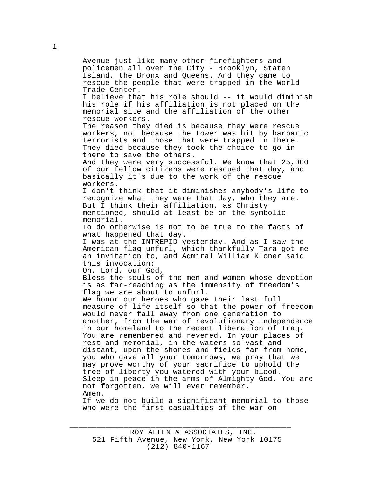Avenue just like many other firefighters and policemen all over the City - Brooklyn, Staten Island, the Bronx and Queens. And they came to rescue the people that were trapped in the World Trade Center. I believe that his role should -- it would diminish his role if his affiliation is not placed on the memorial site and the affiliation of the other rescue workers. The reason they died is because they were rescue workers, not because the tower was hit by barbaric terrorists and those that were trapped in there. They died because they took the choice to go in there to save the others. And they were very successful. We know that 25,000 of our fellow citizens were rescued that day, and basically it's due to the work of the rescue workers. I don't think that it diminishes anybody's life to recognize what they were that day, who they are. But I think their affiliation, as Christy mentioned, should at least be on the symbolic memorial. To do otherwise is not to be true to the facts of what happened that day. I was at the INTREPID yesterday. And as I saw the American flag unfurl, which thankfully Tara got me an invitation to, and Admiral William Kloner said this invocation: Oh, Lord, our God, Bless the souls of the men and women whose devotion is as far-reaching as the immensity of freedom's flag we are about to unfurl. We honor our heroes who gave their last full measure of life itself so that the power of freedom would never fall away from one generation to another, from the war of revolutionary independence in our homeland to the recent liberation of Iraq. You are remembered and revered. In your places of rest and memorial, in the waters so vast and distant, upon the shores and fields far from home, you who gave all your tomorrows, we pray that we may prove worthy of your sacrifice to uphold the tree of liberty you watered with your blood. Sleep in peace in the arms of Almighty God. You are not forgotten. We will ever remember. Amen. If we do not build a significant memorial to those who were the first casualties of the war on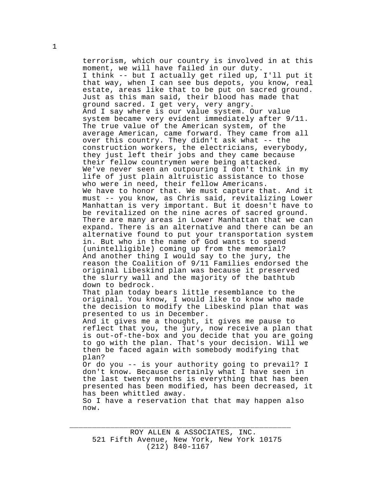terrorism, which our country is involved in at this moment, we will have failed in our duty. I think -- but I actually get riled up, I'll put it that way, when I can see bus depots, you know, real estate, areas like that to be put on sacred ground. Just as this man said, their blood has made that ground sacred. I get very, very angry. And I say where is our value system. Our value system became very evident immediately after 9/11. The true value of the American system, of the average American, came forward. They came from all over this country. They didn't ask what -- the construction workers, the electricians, everybody, they just left their jobs and they came because their fellow countrymen were being attacked. We've never seen an outpouring I don't think in my life of just plain altruistic assistance to those who were in need, their fellow Americans. We have to honor that. We must capture that. And it must -- you know, as Chris said, revitalizing Lower Manhattan is very important. But it doesn't have to be revitalized on the nine acres of sacred ground. There are many areas in Lower Manhattan that we can expand. There is an alternative and there can be an alternative found to put your transportation system in. But who in the name of God wants to spend (unintelligible) coming up from the memorial? And another thing I would say to the jury, the reason the Coalition of 9/11 Families endorsed the original Libeskind plan was because it preserved the slurry wall and the majority of the bathtub down to bedrock. That plan today bears little resemblance to the original. You know, I would like to know who made the decision to modify the Libeskind plan that was presented to us in December. And it gives me a thought, it gives me pause to reflect that you, the jury, now receive a plan that is out-of-the-box and you decide that you are going to go with the plan. That's your decision. Will we then be faced again with somebody modifying that

plan? Or do you -- is your authority going to prevail? I

don't know. Because certainly what I have seen in the last twenty months is everything that has been presented has been modified, has been decreased, it has been whittled away.

So I have a reservation that that may happen also now.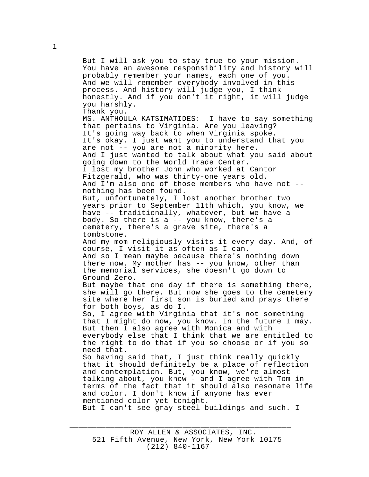But I will ask you to stay true to your mission. You have an awesome responsibility and history will probably remember your names, each one of you. And we will remember everybody involved in this process. And history will judge you, I think honestly. And if you don't it right, it will judge you harshly. Thank you. MS. ANTHOULA KATSIMATIDES: I have to say something that pertains to Virginia. Are you leaving? It's going way back to when Virginia spoke. It's okay. I just want you to understand that you are not -- you are not a minority here. And I just wanted to talk about what you said about going down to the World Trade Center. I lost my brother John who worked at Cantor Fitzgerald, who was thirty-one years old. And I'm also one of those members who have not - nothing has been found. But, unfortunately, I lost another brother two years prior to September 11th which, you know, we have -- traditionally, whatever, but we have a body. So there is a -- you know, there's a cemetery, there's a grave site, there's a tombstone. And my mom religiously visits it every day. And, of course, I visit it as often as I can. And so I mean maybe because there's nothing down there now. My mother has -- you know, other than the memorial services, she doesn't go down to Ground Zero. But maybe that one day if there is something there, she will go there. But now she goes to the cemetery site where her first son is buried and prays there for both boys, as do I. So, I agree with Virginia that it's not something that I might do now, you know. In the future I may. But then I also agree with Monica and with everybody else that I think that we are entitled to the right to do that if you so choose or if you so need that. So having said that, I just think really quickly that it should definitely be a place of reflection and contemplation. But, you know, we're almost talking about, you know - and I agree with Tom in terms of the fact that it should also resonate life and color. I don't know if anyone has ever mentioned color yet tonight. But I can't see gray steel buildings and such. I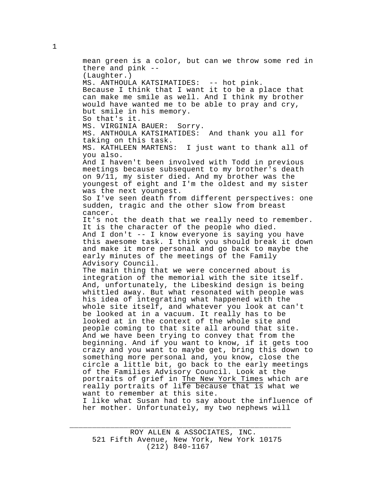mean green is a color, but can we throw some red in there and pink -- (Laughter.) MS. ANTHOULA KATSIMATIDES: -- hot pink. Because I think that I want it to be a place that can make me smile as well. And I think my brother would have wanted me to be able to pray and cry, but smile in his memory. So that's it. MS. VIRGINIA BAUER: Sorry. MS. ANTHOULA KATSIMATIDES: And thank you all for taking on this task. MS. KATHLEEN MARTENS: I just want to thank all of you also. And I haven't been involved with Todd in previous meetings because subsequent to my brother's death on 9/11, my sister died. And my brother was the youngest of eight and I'm the oldest and my sister was the next youngest. So I've seen death from different perspectives: one sudden, tragic and the other slow from breast cancer. It's not the death that we really need to remember. It is the character of the people who died. And I don't -- I know everyone is saying you have this awesome task. I think you should break it down and make it more personal and go back to maybe the early minutes of the meetings of the Family Advisory Council. The main thing that we were concerned about is integration of the memorial with the site itself. And, unfortunately, the Libeskind design is being whittled away. But what resonated with people was his idea of integrating what happened with the whole site itself, and whatever you look at can't be looked at in a vacuum. It really has to be looked at in the context of the whole site and people coming to that site all around that site. And we have been trying to convey that from the beginning. And if you want to know, if it gets too crazy and you want to maybe get, bring this down to something more personal and, you know, close the circle a little bit, go back to the early meetings of the Families Advisory Council. Look at the portraits of grief in The New York Times which are really portraits of life because that is what we want to remember at this site. I like what Susan had to say about the influence of her mother. Unfortunately, my two nephews will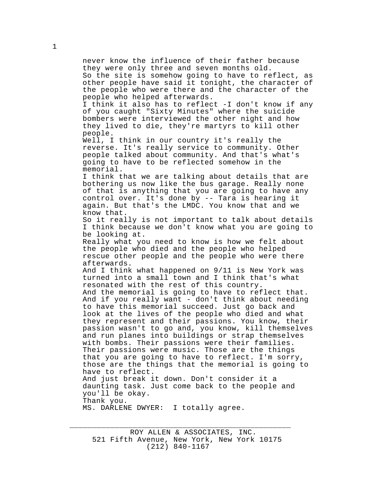never know the influence of their father because they were only three and seven months old. So the site is somehow going to have to reflect, as other people have said it tonight, the character of the people who were there and the character of the people who helped afterwards. I think it also has to reflect -I don't know if any of you caught "Sixty Minutes" where the suicide bombers were interviewed the other night and how they lived to die, they're martyrs to kill other people. Well, I think in our country it's really the reverse. It's really service to community. Other people talked about community. And that's what's going to have to be reflected somehow in the memorial. I think that we are talking about details that are bothering us now like the bus garage. Really none of that is anything that you are going to have any control over. It's done by -- Tara is hearing it again. But that's the LMDC. You know that and we know that. So it really is not important to talk about details I think because we don't know what you are going to be looking at. Really what you need to know is how we felt about the people who died and the people who helped rescue other people and the people who were there afterwards. And I think what happened on 9/11 is New York was turned into a small town and I think that's what resonated with the rest of this country. And the memorial is going to have to reflect that. And if you really want - don't think about needing to have this memorial succeed. Just go back and look at the lives of the people who died and what they represent and their passions. You know, their passion wasn't to go and, you know, kill themselves and run planes into buildings or strap themselves with bombs. Their passions were their families. Their passions were music. Those are the things that you are going to have to reflect. I'm sorry, those are the things that the memorial is going to have to reflect. And just break it down. Don't consider it a daunting task. Just come back to the people and you'll be okay. Thank you. MS. DARLENE DWYER: I totally agree.

ROY ALLEN & ASSOCIATES, INC. 521 Fifth Avenue, New York, New York 10175 (212) 840-1167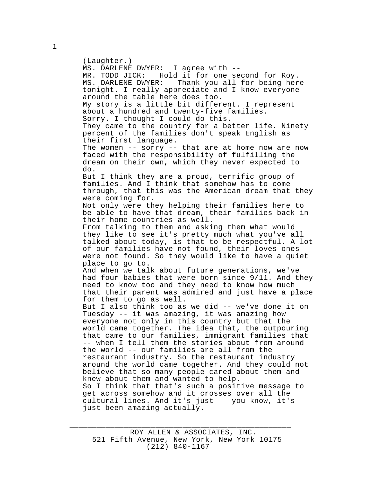(Laughter.) MS. DARLENE DWYER: I agree with -- MR. TODD JICK: Hold it for one second for Roy.<br>MS. DARLENE DWYER: Thank you all for being her Thank you all for being here tonight. I really appreciate and I know everyone around the table here does too. My story is a little bit different. I represent about a hundred and twenty-five families. Sorry. I thought I could do this. They came to the country for a better life. Ninety percent of the families don't speak English as their first language. The women -- sorry -- that are at home now are now faced with the responsibility of fulfilling the dream on their own, which they never expected to do. But I think they are a proud, terrific group of families. And I think that somehow has to come through, that this was the American dream that they were coming for. Not only were they helping their families here to be able to have that dream, their families back in their home countries as well. From talking to them and asking them what would they like to see it's pretty much what you've all talked about today, is that to be respectful. A lot of our families have not found, their loves ones were not found. So they would like to have a quiet place to go to. And when we talk about future generations, we've had four babies that were born since 9/11. And they need to know too and they need to know how much that their parent was admired and just have a place for them to go as well. But I also think too as we did -- we've done it on Tuesday -- it was amazing, it was amazing how everyone not only in this country but that the world came together. The idea that, the outpouring that came to our families, immigrant families that -- when I tell them the stories about from around the world -- our families are all from the restaurant industry. So the restaurant industry around the world came together. And they could not believe that so many people cared about them and knew about them and wanted to help. So I think that that's such a positive message to get across somehow and it crosses over all the cultural lines. And it's just -- you know, it's just been amazing actually.

\_\_\_\_\_\_\_\_\_\_\_\_\_\_\_\_\_\_\_\_\_\_\_\_\_\_\_\_\_\_\_\_\_\_\_\_\_\_\_\_\_\_\_\_\_\_\_\_\_

1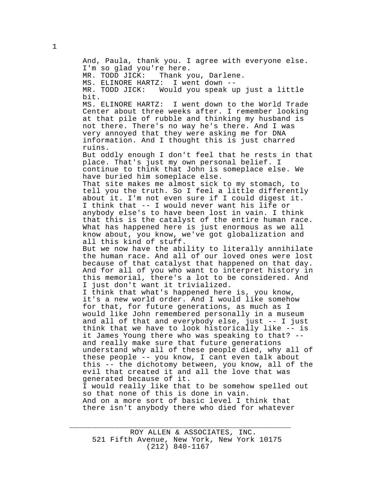And, Paula, thank you. I agree with everyone else. I'm so glad you're here.<br>MR. TODD JICK: Thank y Thank you, Darlene.<br>:: I went down --MS. ELINORE HARTZ: MR. TODD JICK: Would you speak up just a little bit. MS. ELINORE HARTZ: I went down to the World Trade Center about three weeks after. I remember looking at that pile of rubble and thinking my husband is not there. There's no way he's there. And I was very annoyed that they were asking me for DNA information. And I thought this is just charred ruins. But oddly enough I don't feel that he rests in that place. That's just my own personal belief. I continue to think that John is someplace else. We have buried him someplace else. That site makes me almost sick to my stomach, to tell you the truth. So I feel a little differently about it. I'm not even sure if I could digest it. I think that -- I would never want his life or anybody else's to have been lost in vain. I think that this is the catalyst of the entire human race. What has happened here is just enormous as we all know about, you know, we've got globalization and all this kind of stuff. But we now have the ability to literally annihilate the human race. And all of our loved ones were lost because of that catalyst that happened on that day. And for all of you who want to interpret history in this memorial, there's a lot to be considered. And I just don't want it trivialized. I think that what's happened here is, you know, it's a new world order. And I would like somehow for that, for future generations, as much as I would like John remembered personally in a museum and all of that and everybody else, just -- I just think that we have to look historically like -- is it James Young there who was speaking to that? - and really make sure that future generations understand why all of these people died, why all of these people -- you know, I cant even talk about this -- the dichotomy between, you know, all of the evil that created it and all the love that was generated because of it. I would really like that to be somehow spelled out so that none of this is done in vain. And on a more sort of basic level I think that there isn't anybody there who died for whatever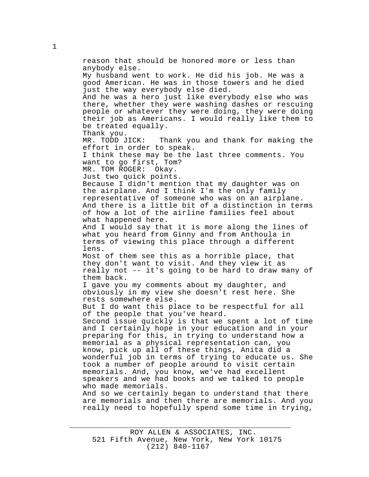reason that should be honored more or less than anybody else. My husband went to work. He did his job. He was a good American. He was in those towers and he died just the way everybody else died. And he was a hero just like everybody else who was there, whether they were washing dashes or rescuing people or whatever they were doing, they were doing their job as Americans. I would really like them to be treated equally. Thank you.<br>MR. TODD JICK: Thank you and thank for making the effort in order to speak. I think these may be the last three comments. You want to go first, Tom? MR. TOM ROGER: Okay. Just two quick points. Because I didn't mention that my daughter was on And there is a little bit of a distinction in terms And I would say that it is more along the lines of what you heard from Ginny and from Anthoula in terms of viewing this place through a different lens. But I do want this place to be respectful for all of the people that you've heard. Second issue quickly is that we spent a lot of time And so we certainly began to understand that there are memorials and then there are memorials. And you really need to hopefully spend some time in trying,

\_\_\_\_\_\_\_\_\_\_\_\_\_\_\_\_\_\_\_\_\_\_\_\_\_\_\_\_\_\_\_\_\_\_\_\_\_\_\_\_\_\_\_\_\_\_\_\_\_

the airplane. And I think I'm the only family representative of someone who was on an airplane. of how a lot of the airline families feel about what happened here.

Most of them see this as a horrible place, that they don't want to visit. And they view it as really not -- it's going to be hard to draw many of them back.

I gave you my comments about my daughter, and obviously in my view she doesn't rest here. She rests somewhere else.

and I certainly hope in your education and in your preparing for this, in trying to understand how a memorial as a physical representation can, you know, pick up all of these things, Anita did a wonderful job in terms of trying to educate us. She took a number of people around to visit certain memorials. And, you know, we've had excellent speakers and we had books and we talked to people who made memorials.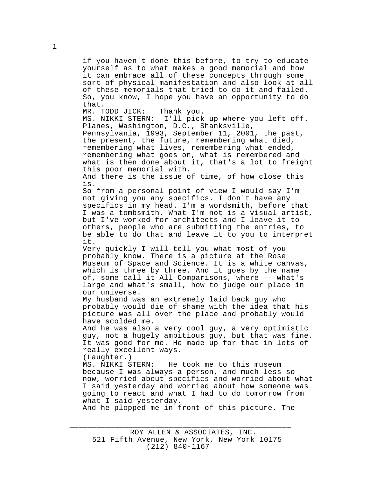if you haven't done this before, to try to educate yourself as to what makes a good memorial and how it can embrace all of these concepts through some sort of physical manifestation and also look at all of these memorials that tried to do it and failed. So, you know, I hope you have an opportunity to do that.

MR. TODD JICK: Thank you. MS. NIKKI STERN: I'll pick up where you left off. Planes, Washington, D.C., Shanksville, Pennsylvania, 1993, September 11, 2001, the past, the present, the future, remembering what died, remembering what lives, remembering what ended, remembering what goes on, what is remembered and what is then done about it, that's a lot to freight this poor memorial with. And there is the issue of time, of how close this is. So from a personal point of view I would say I'm not giving you any specifics. I don't have any specifics in my head. I'm a wordsmith, before that I was a tombsmith. What I'm not is a visual artist, but I've worked for architects and I leave it to others, people who are submitting the entries, to be able to do that and leave it to you to interpret it. Very quickly I will tell you what most of you probably know. There is a picture at the Rose Museum of Space and Science. It is a white canvas, which is three by three. And it goes by the name of, some call it All Comparisons, where -- what's

large and what's small, how to judge our place in our universe. My husband was an extremely laid back guy who

probably would die of shame with the idea that his picture was all over the place and probably would have scolded me.

And he was also a very cool guy, a very optimistic guy, not a hugely ambitious guy, but that was fine. It was good for me. He made up for that in lots of really excellent ways.

(Laughter.)<br>MS. NIKKI STERN: He took me to this museum because I was always a person, and much less so now, worried about specifics and worried about what I said yesterday and worried about how someone was going to react and what I had to do tomorrow from what I said yesterday.

And he plopped me in front of this picture. The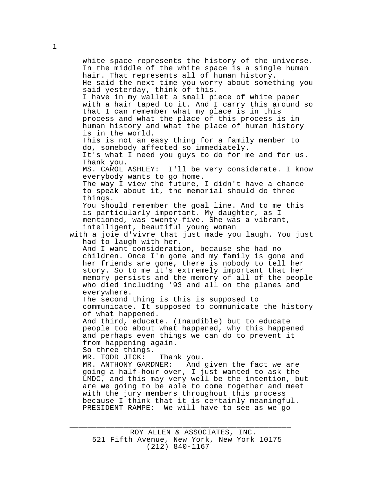white space represents the history of the universe. In the middle of the white space is a single human hair. That represents all of human history. He said the next time you worry about something you said yesterday, think of this. I have in my wallet a small piece of white paper with a hair taped to it. And I carry this around so that I can remember what my place is in this process and what the place of this process is in human history and what the place of human history is in the world. This is not an easy thing for a family member to do, somebody affected so immediately. It's what I need you guys to do for me and for us. Thank you. MS. CAROL ASHLEY: I'll be very considerate. I know everybody wants to go home. The way I view the future, I didn't have a chance to speak about it, the memorial should do three things. You should remember the goal line. And to me this is particularly important. My daughter, as I mentioned, was twenty-five. She was a vibrant, intelligent, beautiful young woman with a joie d'vivre that just made you laugh. You just had to laugh with her. And I want consideration, because she had no children. Once I'm gone and my family is gone and her friends are gone, there is nobody to tell her story. So to me it's extremely important that her memory persists and the memory of all of the people who died including '93 and all on the planes and everywhere. The second thing is this is supposed to communicate. It supposed to communicate the history of what happened. And third, educate. (Inaudible) but to educate people too about what happened, why this happened and perhaps even things we can do to prevent it from happening again. So three things. MR. TODD JICK: Thank you.<br>MR. ANTHONY GARDNER: And And given the fact we are going a half-hour over, I just wanted to ask the LMDC, and this may very well be the intention, but are we going to be able to come together and meet with the jury members throughout this process because I think that it is certainly meaningful. PRESIDENT RAMPE: We will have to see as we go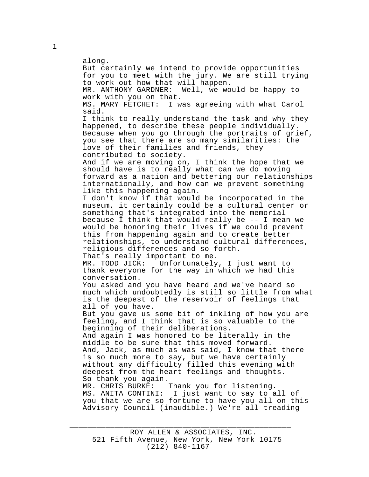along. But certainly we intend to provide opportunities for you to meet with the jury. We are still trying to work out how that will happen. MR. ANTHONY GARDNER: Well, we would be happy to work with you on that. MS. MARY FETCHET: I was agreeing with what Carol said. I think to really understand the task and why they happened, to describe these people individually. Because when you go through the portraits of grief, you see that there are so many similarities: the love of their families and friends, they contributed to society. And if we are moving on, I think the hope that we should have is to really what can we do moving forward as a nation and bettering our relationships internationally, and how can we prevent something like this happening again. I don't know if that would be incorporated in the museum, it certainly could be a cultural center or something that's integrated into the memorial because I think that would really be -- I mean we would be honoring their lives if we could prevent this from happening again and to create better relationships, to understand cultural differences, religious differences and so forth. That's really important to me.<br>MR. TODD JICK: Unfortunately Unfortunately, I just want to thank everyone for the way in which we had this conversation. You asked and you have heard and we've heard so much which undoubtedly is still so little from what is the deepest of the reservoir of feelings that all of you have. But you gave us some bit of inkling of how you are feeling, and I think that is so valuable to the beginning of their deliberations. And again I was honored to be literally in the middle to be sure that this moved forward. And, Jack, as much as was said, I know that there is so much more to say, but we have certainly without any difficulty filled this evening with deepest from the heart feelings and thoughts. So thank you again. MR. CHRIS BURKE: Thank you for listening. MS. ANITA CONTINI: I just want to say to all of you that we are so fortune to have you all on this Advisory Council (inaudible.) We're all treading